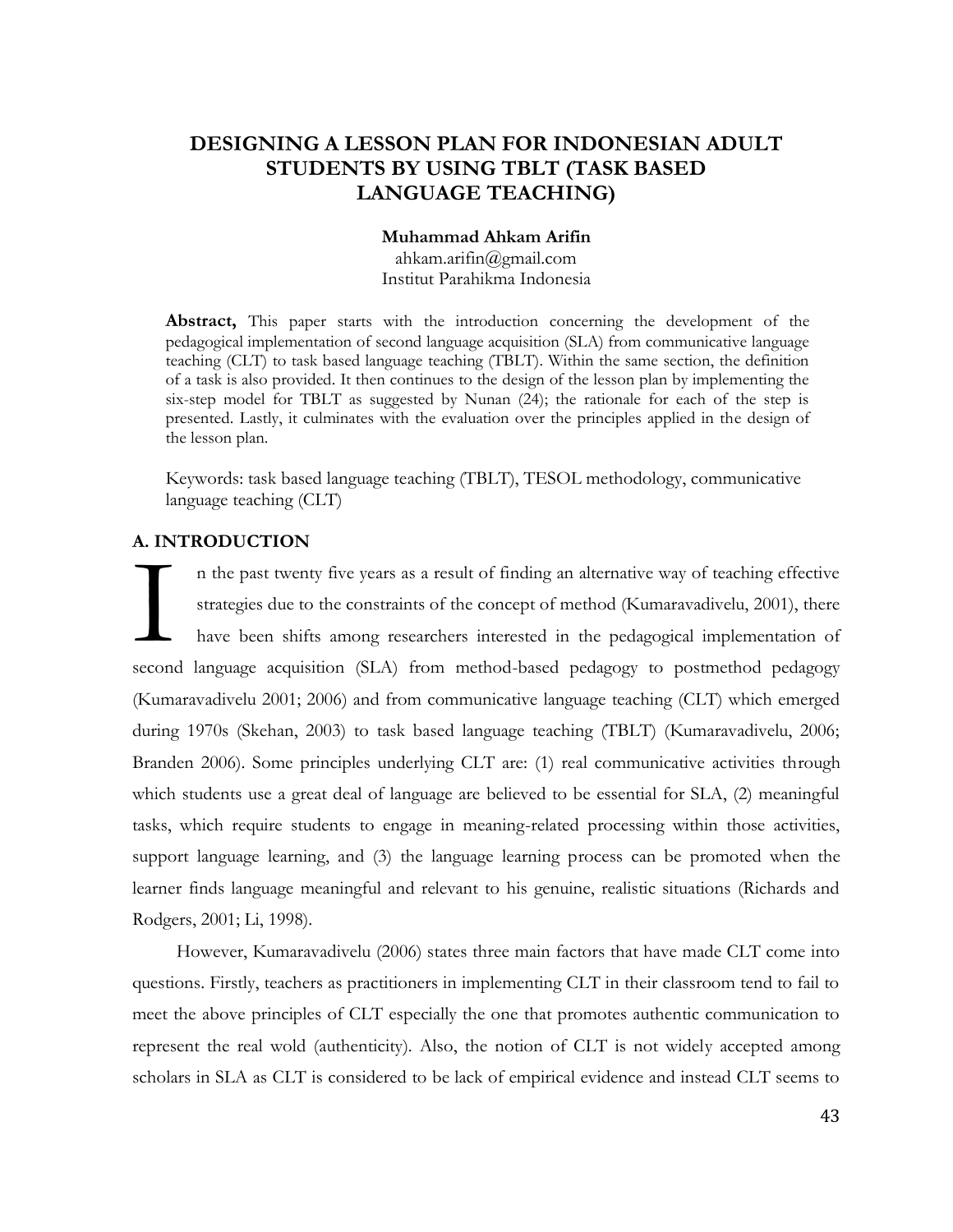# **DESIGNING A LESSON PLAN FOR INDONESIAN ADULT STUDENTS BY USING TBLT (TASK BASED LANGUAGE TEACHING)**

#### **Muhammad Ahkam Arifin**

[ahkam.arifin@gmail.com](mailto:ahkam.arifin@gmail.com) Institut Parahikma Indonesia

**Abstract,** This paper starts with the introduction concerning the development of the pedagogical implementation of second language acquisition (SLA) from communicative language teaching (CLT) to task based language teaching (TBLT). Within the same section, the definition of a task is also provided. It then continues to the design of the lesson plan by implementing the six-step model for TBLT as suggested by Nunan (24); the rationale for each of the step is presented. Lastly, it culminates with the evaluation over the principles applied in the design of the lesson plan.

Keywords: task based language teaching (TBLT), TESOL methodology, communicative language teaching (CLT)

### **A. INTRODUCTION**

n the past twenty five years as a result of finding an alternative way of teaching effective strategies due to the constraints of the concept of method (Kumaravadivelu, 2001), there have been shifts among researchers interested in the pedagogical implementation of second language acquisition (SLA) from method-based pedagogy to postmethod pedagogy (Kumaravadivelu 2001; 2006) and from communicative language teaching (CLT) which emerged during 1970s (Skehan, 2003) to task based language teaching (TBLT) (Kumaravadivelu, 2006; Branden 2006). Some principles underlying CLT are: (1) real communicative activities through which students use a great deal of language are believed to be essential for SLA, (2) meaningful tasks, which require students to engage in meaning-related processing within those activities, support language learning, and (3) the language learning process can be promoted when the learner finds language meaningful and relevant to his genuine, realistic situations (Richards and Rodgers, 2001; Li, 1998). I

However, Kumaravadivelu (2006) states three main factors that have made CLT come into questions. Firstly, teachers as practitioners in implementing CLT in their classroom tend to fail to meet the above principles of CLT especially the one that promotes authentic communication to represent the real wold (authenticity). Also, the notion of CLT is not widely accepted among scholars in SLA as CLT is considered to be lack of empirical evidence and instead CLT seems to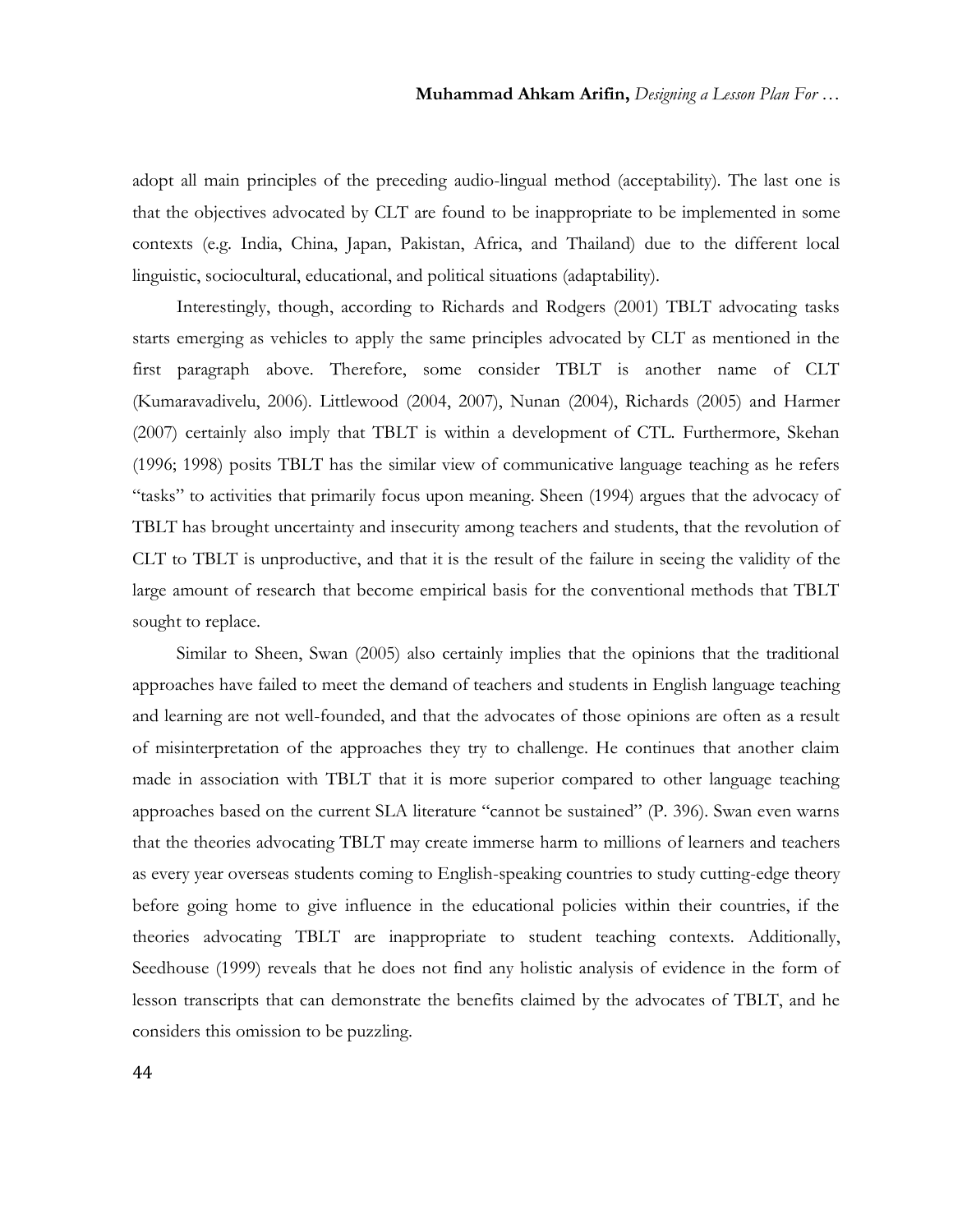adopt all main principles of the preceding audio-lingual method (acceptability). The last one is that the objectives advocated by CLT are found to be inappropriate to be implemented in some contexts (e.g. India, China, Japan, Pakistan, Africa, and Thailand) due to the different local linguistic, sociocultural, educational, and political situations (adaptability).

Interestingly, though, according to Richards and Rodgers (2001) TBLT advocating tasks starts emerging as vehicles to apply the same principles advocated by CLT as mentioned in the first paragraph above. Therefore, some consider TBLT is another name of CLT (Kumaravadivelu, 2006). Littlewood (2004, 2007), Nunan (2004), Richards (2005) and Harmer (2007) certainly also imply that TBLT is within a development of CTL. Furthermore, Skehan (1996; 1998) posits TBLT has the similar view of communicative language teaching as he refers "tasks" to activities that primarily focus upon meaning. Sheen (1994) argues that the advocacy of TBLT has brought uncertainty and insecurity among teachers and students, that the revolution of CLT to TBLT is unproductive, and that it is the result of the failure in seeing the validity of the large amount of research that become empirical basis for the conventional methods that TBLT sought to replace.

Similar to Sheen, Swan (2005) also certainly implies that the opinions that the traditional approaches have failed to meet the demand of teachers and students in English language teaching and learning are not well-founded, and that the advocates of those opinions are often as a result of misinterpretation of the approaches they try to challenge. He continues that another claim made in association with TBLT that it is more superior compared to other language teaching approaches based on the current SLA literature "cannot be sustained" (P. 396). Swan even warns that the theories advocating TBLT may create immerse harm to millions of learners and teachers as every year overseas students coming to English-speaking countries to study cutting-edge theory before going home to give influence in the educational policies within their countries, if the theories advocating TBLT are inappropriate to student teaching contexts. Additionally, Seedhouse (1999) reveals that he does not find any holistic analysis of evidence in the form of lesson transcripts that can demonstrate the benefits claimed by the advocates of TBLT, and he considers this omission to be puzzling.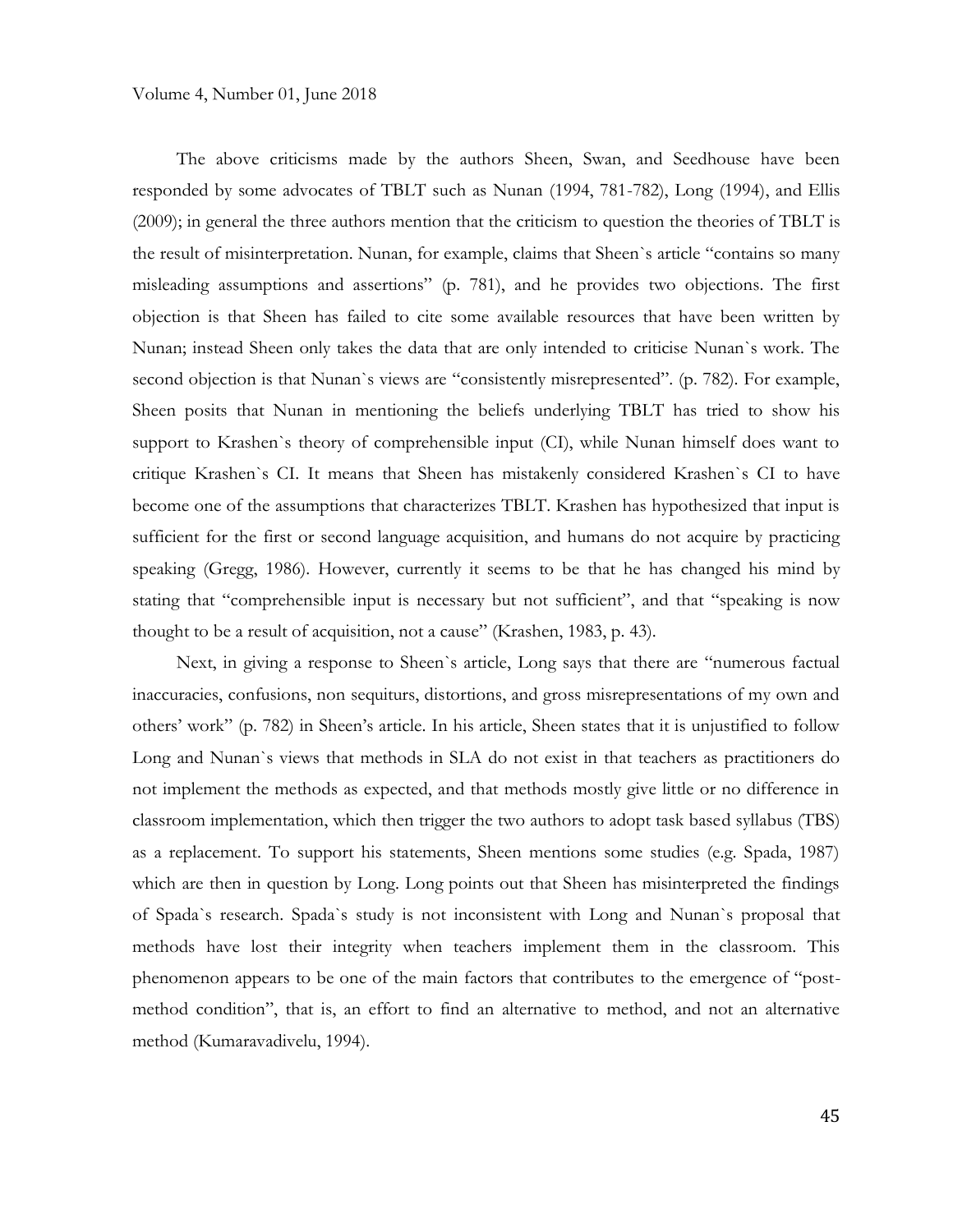The above criticisms made by the authors Sheen, Swan, and Seedhouse have been responded by some advocates of TBLT such as Nunan (1994, 781-782), Long (1994), and Ellis (2009); in general the three authors mention that the criticism to question the theories of TBLT is the result of misinterpretation. Nunan, for example, claims that Sheen`s article "contains so many misleading assumptions and assertions" (p. 781), and he provides two objections. The first objection is that Sheen has failed to cite some available resources that have been written by Nunan; instead Sheen only takes the data that are only intended to criticise Nunan`s work. The second objection is that Nunan`s views are "consistently misrepresented". (p. 782). For example, Sheen posits that Nunan in mentioning the beliefs underlying TBLT has tried to show his support to Krashen`s theory of comprehensible input (CI), while Nunan himself does want to critique Krashen`s CI. It means that Sheen has mistakenly considered Krashen`s CI to have become one of the assumptions that characterizes TBLT. Krashen has hypothesized that input is sufficient for the first or second language acquisition, and humans do not acquire by practicing speaking (Gregg, 1986). However, currently it seems to be that he has changed his mind by stating that "comprehensible input is necessary but not sufficient", and that "speaking is now thought to be a result of acquisition, not a cause" (Krashen, 1983, p. 43).

Next, in giving a response to Sheen`s article, Long says that there are "numerous factual inaccuracies, confusions, non sequiturs, distortions, and gross misrepresentations of my own and others" work" (p. 782) in Sheen"s article. In his article, Sheen states that it is unjustified to follow Long and Nunan`s views that methods in SLA do not exist in that teachers as practitioners do not implement the methods as expected, and that methods mostly give little or no difference in classroom implementation, which then trigger the two authors to adopt task based syllabus (TBS) as a replacement. To support his statements, Sheen mentions some studies (e.g. Spada, 1987) which are then in question by Long. Long points out that Sheen has misinterpreted the findings of Spada`s research. Spada`s study is not inconsistent with Long and Nunan`s proposal that methods have lost their integrity when teachers implement them in the classroom. This phenomenon appears to be one of the main factors that contributes to the emergence of "postmethod condition", that is, an effort to find an alternative to method, and not an alternative method (Kumaravadivelu, 1994).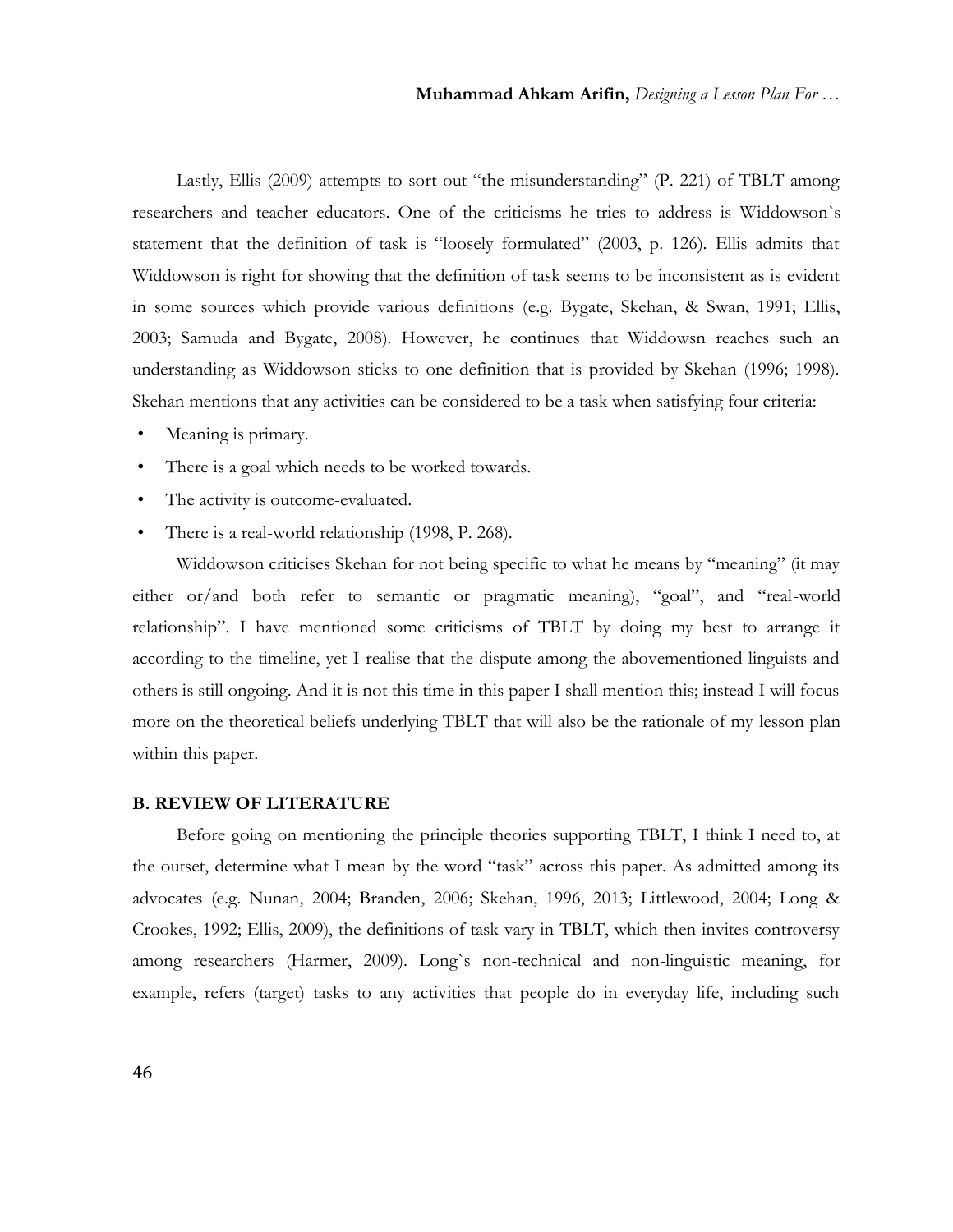Lastly, Ellis (2009) attempts to sort out "the misunderstanding" (P. 221) of TBLT among researchers and teacher educators. One of the criticisms he tries to address is Widdowson`s statement that the definition of task is "loosely formulated" (2003, p. 126). Ellis admits that Widdowson is right for showing that the definition of task seems to be inconsistent as is evident in some sources which provide various definitions (e.g. Bygate, Skehan, & Swan, 1991; Ellis, 2003; Samuda and Bygate, 2008). However, he continues that Widdowsn reaches such an understanding as Widdowson sticks to one definition that is provided by Skehan (1996; 1998). Skehan mentions that any activities can be considered to be a task when satisfying four criteria:

- Meaning is primary.
- There is a goal which needs to be worked towards.
- The activity is outcome-evaluated.
- There is a real-world relationship (1998, P. 268).

Widdowson criticises Skehan for not being specific to what he means by "meaning" (it may either or/and both refer to semantic or pragmatic meaning), "goal", and "real-world relationship". I have mentioned some criticisms of TBLT by doing my best to arrange it according to the timeline, yet I realise that the dispute among the abovementioned linguists and others is still ongoing. And it is not this time in this paper I shall mention this; instead I will focus more on the theoretical beliefs underlying TBLT that will also be the rationale of my lesson plan within this paper.

#### **B. REVIEW OF LITERATURE**

Before going on mentioning the principle theories supporting TBLT, I think I need to, at the outset, determine what I mean by the word "task" across this paper. As admitted among its advocates (e.g. Nunan, 2004; Branden, 2006; Skehan, 1996, 2013; Littlewood, 2004; Long & Crookes, 1992; Ellis, 2009), the definitions of task vary in TBLT, which then invites controversy among researchers (Harmer, 2009). Long`s non-technical and non-linguistic meaning, for example, refers (target) tasks to any activities that people do in everyday life, including such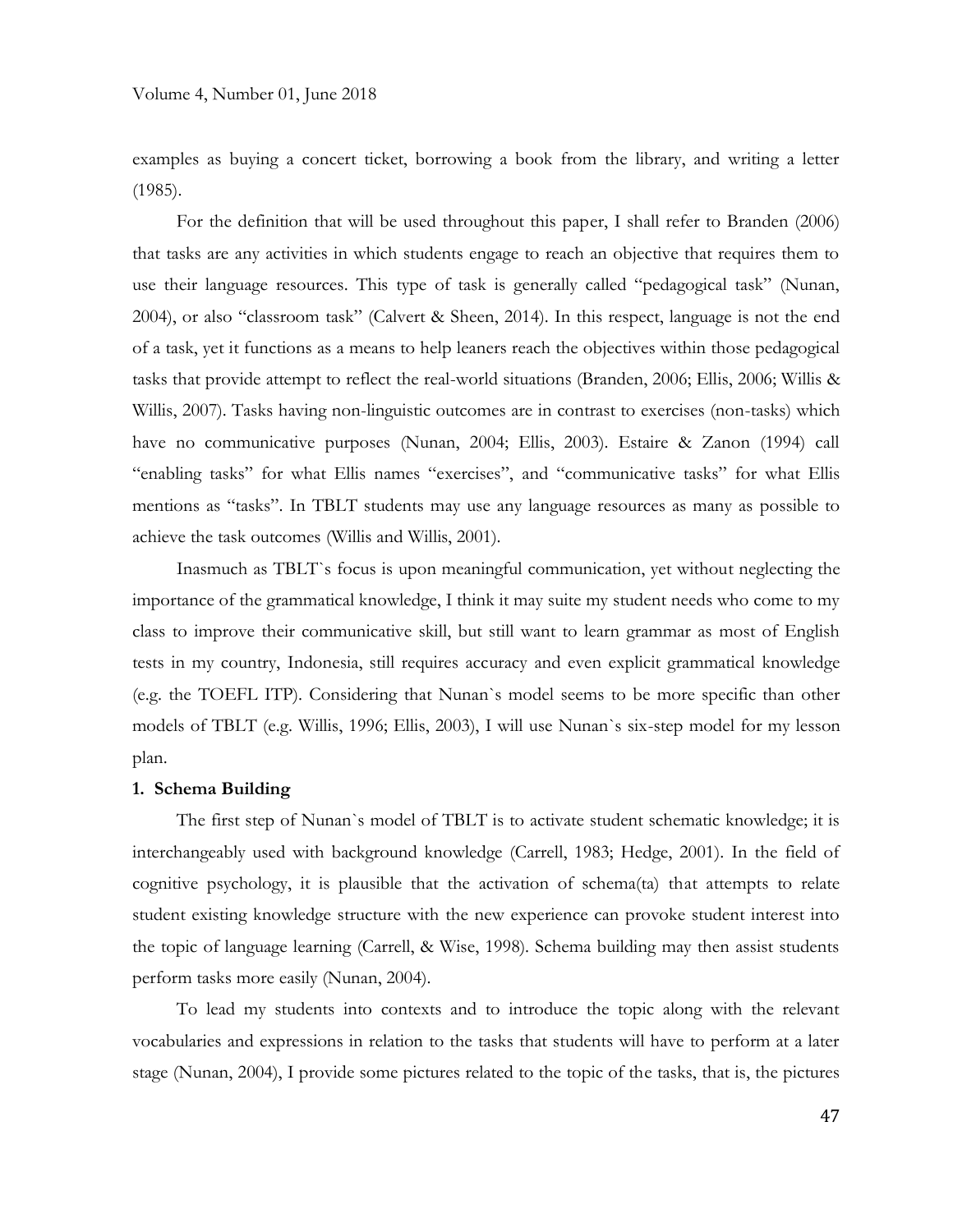examples as buying a concert ticket, borrowing a book from the library, and writing a letter (1985).

For the definition that will be used throughout this paper, I shall refer to Branden (2006) that tasks are any activities in which students engage to reach an objective that requires them to use their language resources. This type of task is generally called "pedagogical task" (Nunan, 2004), or also "classroom task" (Calvert & Sheen, 2014). In this respect, language is not the end of a task, yet it functions as a means to help leaners reach the objectives within those pedagogical tasks that provide attempt to reflect the real-world situations (Branden, 2006; Ellis, 2006; Willis & Willis, 2007). Tasks having non-linguistic outcomes are in contrast to exercises (non-tasks) which have no communicative purposes (Nunan, 2004; Ellis, 2003). Estaire & Zanon (1994) call "enabling tasks" for what Ellis names "exercises", and "communicative tasks" for what Ellis mentions as "tasks". In TBLT students may use any language resources as many as possible to achieve the task outcomes (Willis and Willis, 2001).

Inasmuch as TBLT`s focus is upon meaningful communication, yet without neglecting the importance of the grammatical knowledge, I think it may suite my student needs who come to my class to improve their communicative skill, but still want to learn grammar as most of English tests in my country, Indonesia, still requires accuracy and even explicit grammatical knowledge (e.g. the TOEFL ITP). Considering that Nunan`s model seems to be more specific than other models of TBLT (e.g. Willis, 1996; Ellis, 2003), I will use Nunan`s six-step model for my lesson plan.

#### **1. Schema Building**

The first step of Nunan`s model of TBLT is to activate student schematic knowledge; it is interchangeably used with background knowledge (Carrell, 1983; Hedge, 2001). In the field of cognitive psychology, it is plausible that the activation of schema(ta) that attempts to relate student existing knowledge structure with the new experience can provoke student interest into the topic of language learning (Carrell, & Wise, 1998). Schema building may then assist students perform tasks more easily (Nunan, 2004).

To lead my students into contexts and to introduce the topic along with the relevant vocabularies and expressions in relation to the tasks that students will have to perform at a later stage (Nunan, 2004), I provide some pictures related to the topic of the tasks, that is, the pictures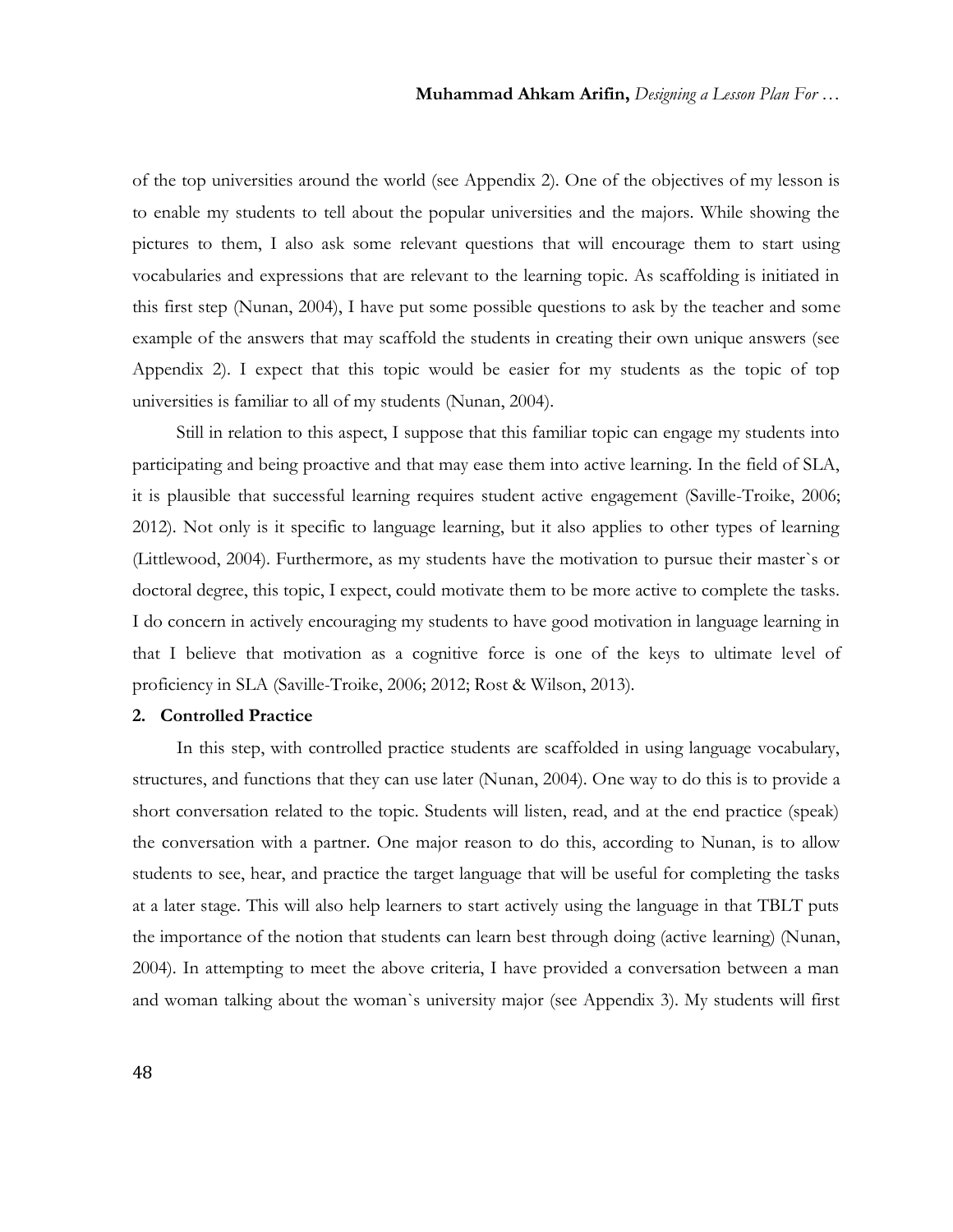of the top universities around the world (see Appendix 2). One of the objectives of my lesson is to enable my students to tell about the popular universities and the majors. While showing the pictures to them, I also ask some relevant questions that will encourage them to start using vocabularies and expressions that are relevant to the learning topic. As scaffolding is initiated in this first step (Nunan, 2004), I have put some possible questions to ask by the teacher and some example of the answers that may scaffold the students in creating their own unique answers (see Appendix 2). I expect that this topic would be easier for my students as the topic of top universities is familiar to all of my students (Nunan, 2004).

Still in relation to this aspect, I suppose that this familiar topic can engage my students into participating and being proactive and that may ease them into active learning. In the field of SLA, it is plausible that successful learning requires student active engagement (Saville-Troike, 2006; 2012). Not only is it specific to language learning, but it also applies to other types of learning (Littlewood, 2004). Furthermore, as my students have the motivation to pursue their master`s or doctoral degree, this topic, I expect, could motivate them to be more active to complete the tasks. I do concern in actively encouraging my students to have good motivation in language learning in that I believe that motivation as a cognitive force is one of the keys to ultimate level of proficiency in SLA (Saville-Troike, 2006; 2012; Rost & Wilson, 2013).

#### **2. Controlled Practice**

In this step, with controlled practice students are scaffolded in using language vocabulary, structures, and functions that they can use later (Nunan, 2004). One way to do this is to provide a short conversation related to the topic. Students will listen, read, and at the end practice (speak) the conversation with a partner. One major reason to do this, according to Nunan, is to allow students to see, hear, and practice the target language that will be useful for completing the tasks at a later stage. This will also help learners to start actively using the language in that TBLT puts the importance of the notion that students can learn best through doing (active learning) (Nunan, 2004). In attempting to meet the above criteria, I have provided a conversation between a man and woman talking about the woman`s university major (see Appendix 3). My students will first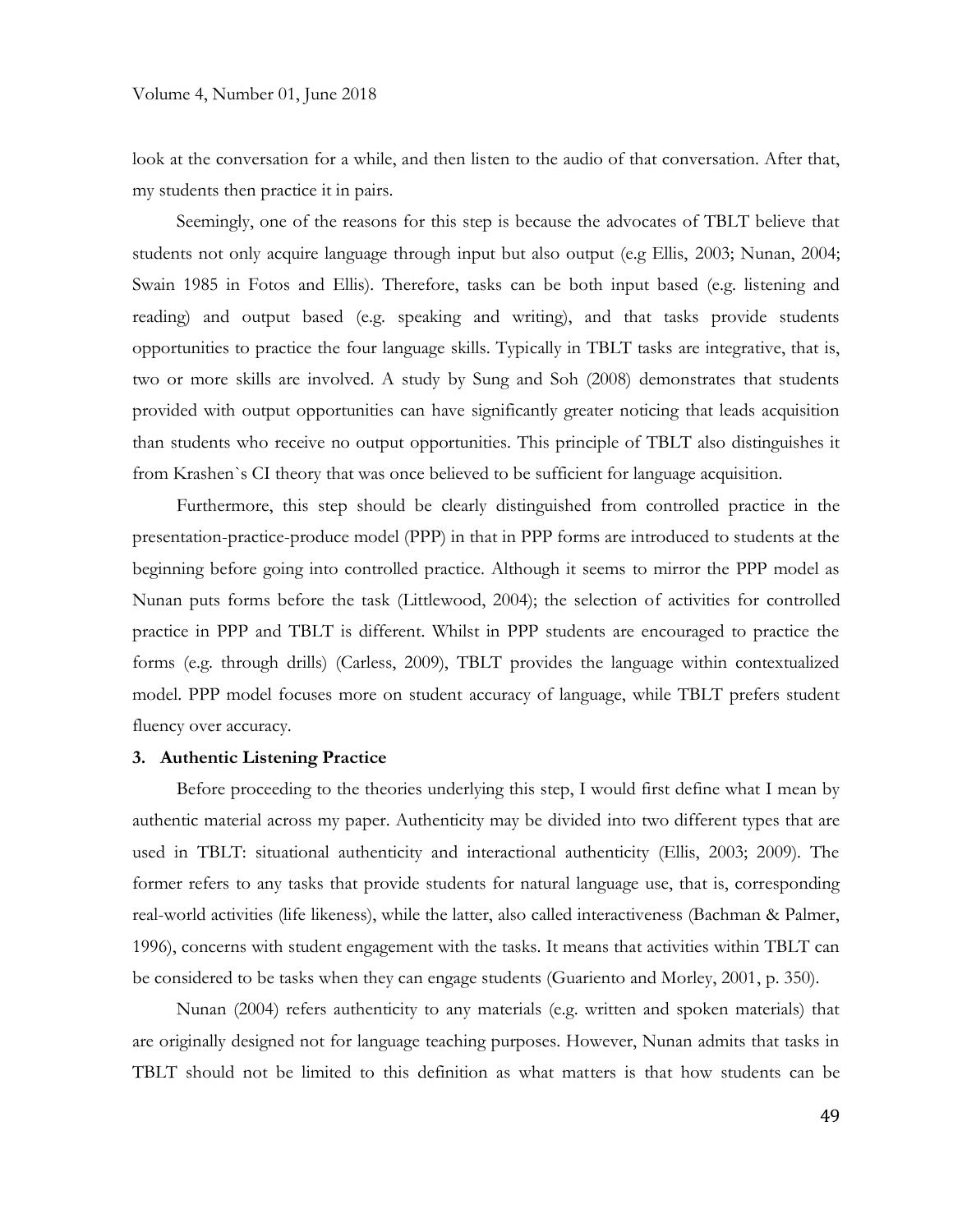look at the conversation for a while, and then listen to the audio of that conversation. After that, my students then practice it in pairs.

Seemingly, one of the reasons for this step is because the advocates of TBLT believe that students not only acquire language through input but also output (e.g Ellis, 2003; Nunan, 2004; Swain 1985 in Fotos and Ellis). Therefore, tasks can be both input based (e.g. listening and reading) and output based (e.g. speaking and writing), and that tasks provide students opportunities to practice the four language skills. Typically in TBLT tasks are integrative, that is, two or more skills are involved. A study by Sung and Soh (2008) demonstrates that students provided with output opportunities can have significantly greater noticing that leads acquisition than students who receive no output opportunities. This principle of TBLT also distinguishes it from Krashen`s CI theory that was once believed to be sufficient for language acquisition.

Furthermore, this step should be clearly distinguished from controlled practice in the presentation-practice-produce model (PPP) in that in PPP forms are introduced to students at the beginning before going into controlled practice. Although it seems to mirror the PPP model as Nunan puts forms before the task (Littlewood, 2004); the selection of activities for controlled practice in PPP and TBLT is different. Whilst in PPP students are encouraged to practice the forms (e.g. through drills) (Carless, 2009), TBLT provides the language within contextualized model. PPP model focuses more on student accuracy of language, while TBLT prefers student fluency over accuracy.

#### **3. Authentic Listening Practice**

Before proceeding to the theories underlying this step, I would first define what I mean by authentic material across my paper. Authenticity may be divided into two different types that are used in TBLT: situational authenticity and interactional authenticity (Ellis, 2003; 2009). The former refers to any tasks that provide students for natural language use, that is, corresponding real-world activities (life likeness), while the latter, also called interactiveness (Bachman & Palmer, 1996), concerns with student engagement with the tasks. It means that activities within TBLT can be considered to be tasks when they can engage students (Guariento and Morley, 2001, p. 350).

Nunan (2004) refers authenticity to any materials (e.g. written and spoken materials) that are originally designed not for language teaching purposes. However, Nunan admits that tasks in TBLT should not be limited to this definition as what matters is that how students can be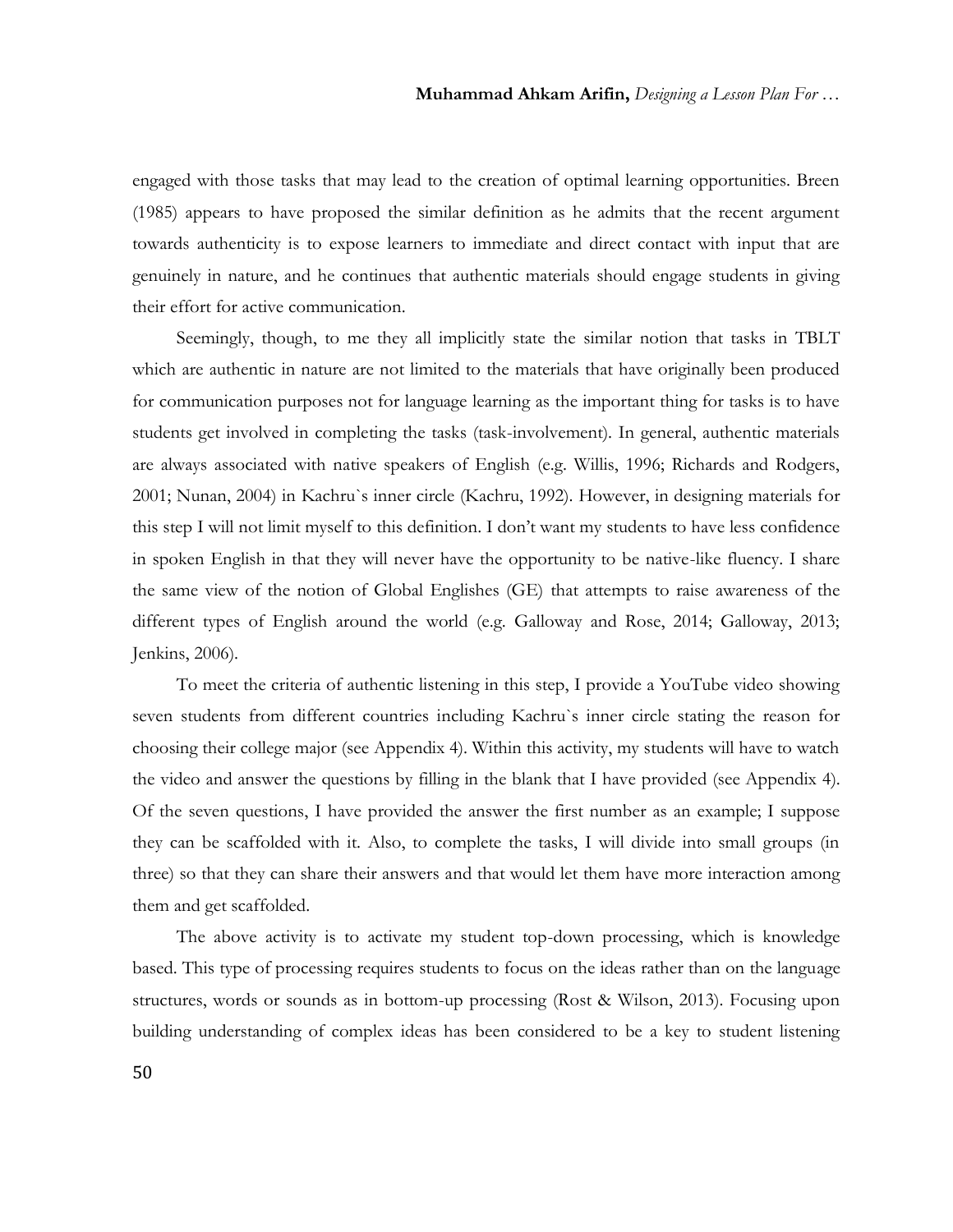engaged with those tasks that may lead to the creation of optimal learning opportunities. Breen (1985) appears to have proposed the similar definition as he admits that the recent argument towards authenticity is to expose learners to immediate and direct contact with input that are genuinely in nature, and he continues that authentic materials should engage students in giving their effort for active communication.

Seemingly, though, to me they all implicitly state the similar notion that tasks in TBLT which are authentic in nature are not limited to the materials that have originally been produced for communication purposes not for language learning as the important thing for tasks is to have students get involved in completing the tasks (task-involvement). In general, authentic materials are always associated with native speakers of English (e.g. Willis, 1996; Richards and Rodgers, 2001; Nunan, 2004) in Kachru`s inner circle (Kachru, 1992). However, in designing materials for this step I will not limit myself to this definition. I don"t want my students to have less confidence in spoken English in that they will never have the opportunity to be native-like fluency. I share the same view of the notion of Global Englishes (GE) that attempts to raise awareness of the different types of English around the world (e.g. Galloway and Rose, 2014; Galloway, 2013; Jenkins, 2006).

To meet the criteria of authentic listening in this step, I provide a YouTube video showing seven students from different countries including Kachru`s inner circle stating the reason for choosing their college major (see Appendix 4). Within this activity, my students will have to watch the video and answer the questions by filling in the blank that I have provided (see Appendix 4). Of the seven questions, I have provided the answer the first number as an example; I suppose they can be scaffolded with it. Also, to complete the tasks, I will divide into small groups (in three) so that they can share their answers and that would let them have more interaction among them and get scaffolded.

The above activity is to activate my student top-down processing, which is knowledge based. This type of processing requires students to focus on the ideas rather than on the language structures, words or sounds as in bottom-up processing (Rost & Wilson, 2013). Focusing upon building understanding of complex ideas has been considered to be a key to student listening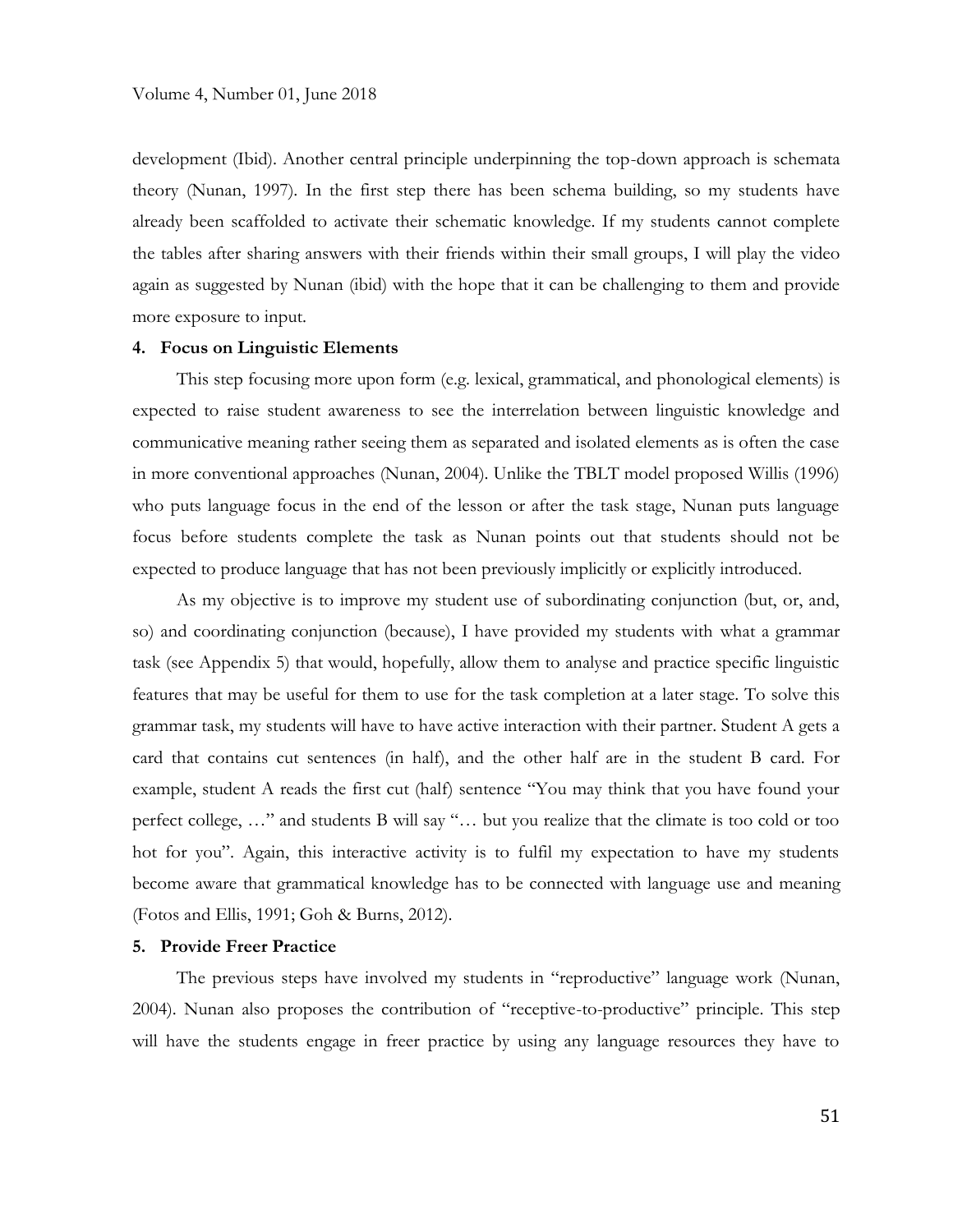development (Ibid). Another central principle underpinning the top-down approach is schemata theory (Nunan, 1997). In the first step there has been schema building, so my students have already been scaffolded to activate their schematic knowledge. If my students cannot complete the tables after sharing answers with their friends within their small groups, I will play the video again as suggested by Nunan (ibid) with the hope that it can be challenging to them and provide more exposure to input.

#### **4. Focus on Linguistic Elements**

This step focusing more upon form (e.g. lexical, grammatical, and phonological elements) is expected to raise student awareness to see the interrelation between linguistic knowledge and communicative meaning rather seeing them as separated and isolated elements as is often the case in more conventional approaches (Nunan, 2004). Unlike the TBLT model proposed Willis (1996) who puts language focus in the end of the lesson or after the task stage, Nunan puts language focus before students complete the task as Nunan points out that students should not be expected to produce language that has not been previously implicitly or explicitly introduced.

As my objective is to improve my student use of subordinating conjunction (but, or, and, so) and coordinating conjunction (because), I have provided my students with what a grammar task (see Appendix 5) that would, hopefully, allow them to analyse and practice specific linguistic features that may be useful for them to use for the task completion at a later stage. To solve this grammar task, my students will have to have active interaction with their partner. Student A gets a card that contains cut sentences (in half), and the other half are in the student B card. For example, student A reads the first cut (half) sentence "You may think that you have found your perfect college, …" and students B will say "… but you realize that the climate is too cold or too hot for you". Again, this interactive activity is to fulfil my expectation to have my students become aware that grammatical knowledge has to be connected with language use and meaning (Fotos and Ellis, 1991; Goh & Burns, 2012).

#### **5. Provide Freer Practice**

The previous steps have involved my students in "reproductive" language work (Nunan, 2004). Nunan also proposes the contribution of "receptive-to-productive" principle. This step will have the students engage in freer practice by using any language resources they have to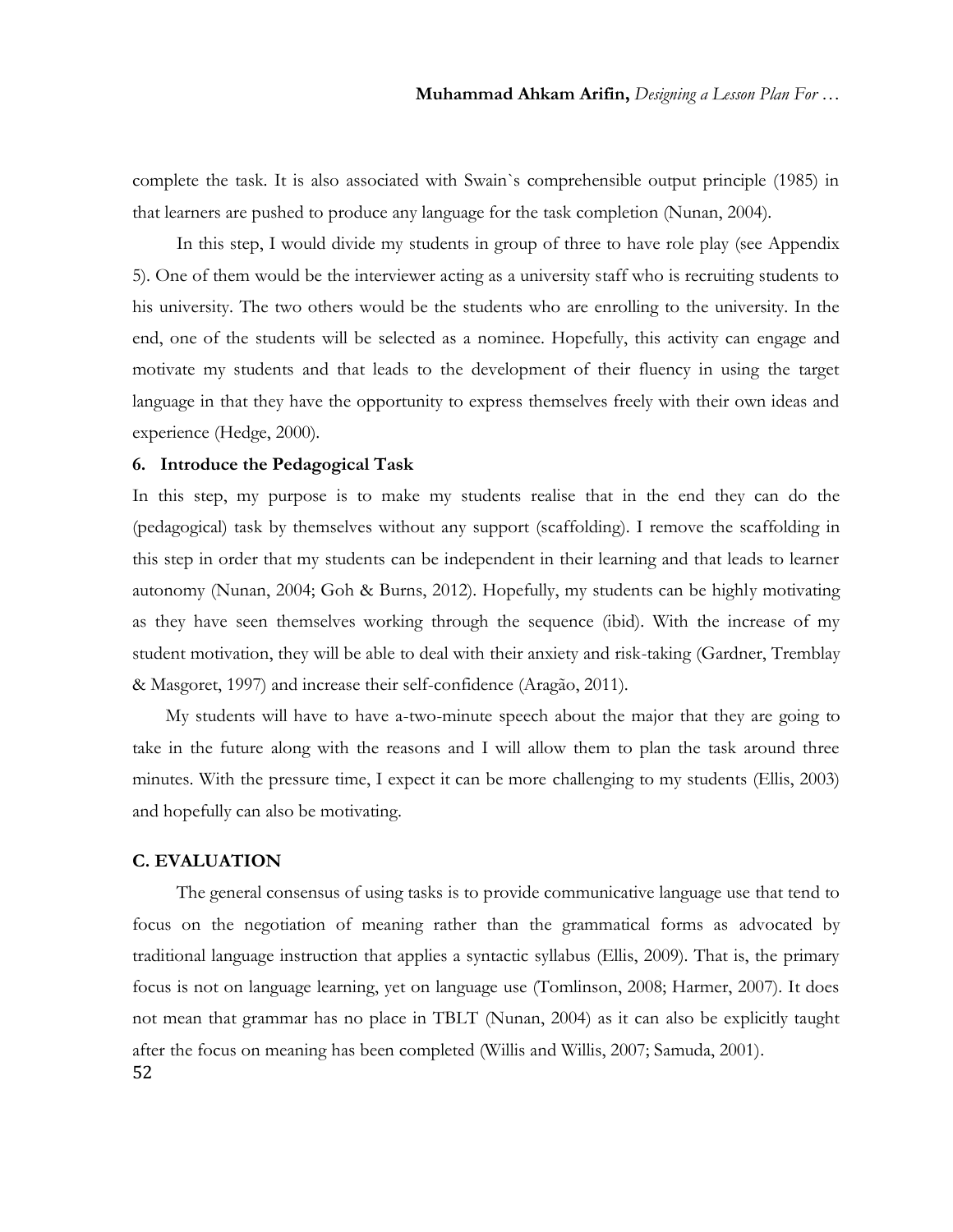complete the task. It is also associated with Swain`s comprehensible output principle (1985) in that learners are pushed to produce any language for the task completion (Nunan, 2004).

In this step, I would divide my students in group of three to have role play (see Appendix 5). One of them would be the interviewer acting as a university staff who is recruiting students to his university. The two others would be the students who are enrolling to the university. In the end, one of the students will be selected as a nominee. Hopefully, this activity can engage and motivate my students and that leads to the development of their fluency in using the target language in that they have the opportunity to express themselves freely with their own ideas and experience (Hedge, 2000).

#### **6. Introduce the Pedagogical Task**

In this step, my purpose is to make my students realise that in the end they can do the (pedagogical) task by themselves without any support (scaffolding). I remove the scaffolding in this step in order that my students can be independent in their learning and that leads to learner autonomy (Nunan, 2004; Goh & Burns, 2012). Hopefully, my students can be highly motivating as they have seen themselves working through the sequence (ibid). With the increase of my student motivation, they will be able to deal with their anxiety and risk-taking (Gardner, Tremblay & Masgoret, 1997) and increase their self-confidence (Aragão, 2011).

My students will have to have a-two-minute speech about the major that they are going to take in the future along with the reasons and I will allow them to plan the task around three minutes. With the pressure time, I expect it can be more challenging to my students (Ellis, 2003) and hopefully can also be motivating.

#### **C. EVALUATION**

52 The general consensus of using tasks is to provide communicative language use that tend to focus on the negotiation of meaning rather than the grammatical forms as advocated by traditional language instruction that applies a syntactic syllabus (Ellis, 2009). That is, the primary focus is not on language learning, yet on language use (Tomlinson, 2008; Harmer, 2007). It does not mean that grammar has no place in TBLT (Nunan, 2004) as it can also be explicitly taught after the focus on meaning has been completed (Willis and Willis, 2007; Samuda, 2001).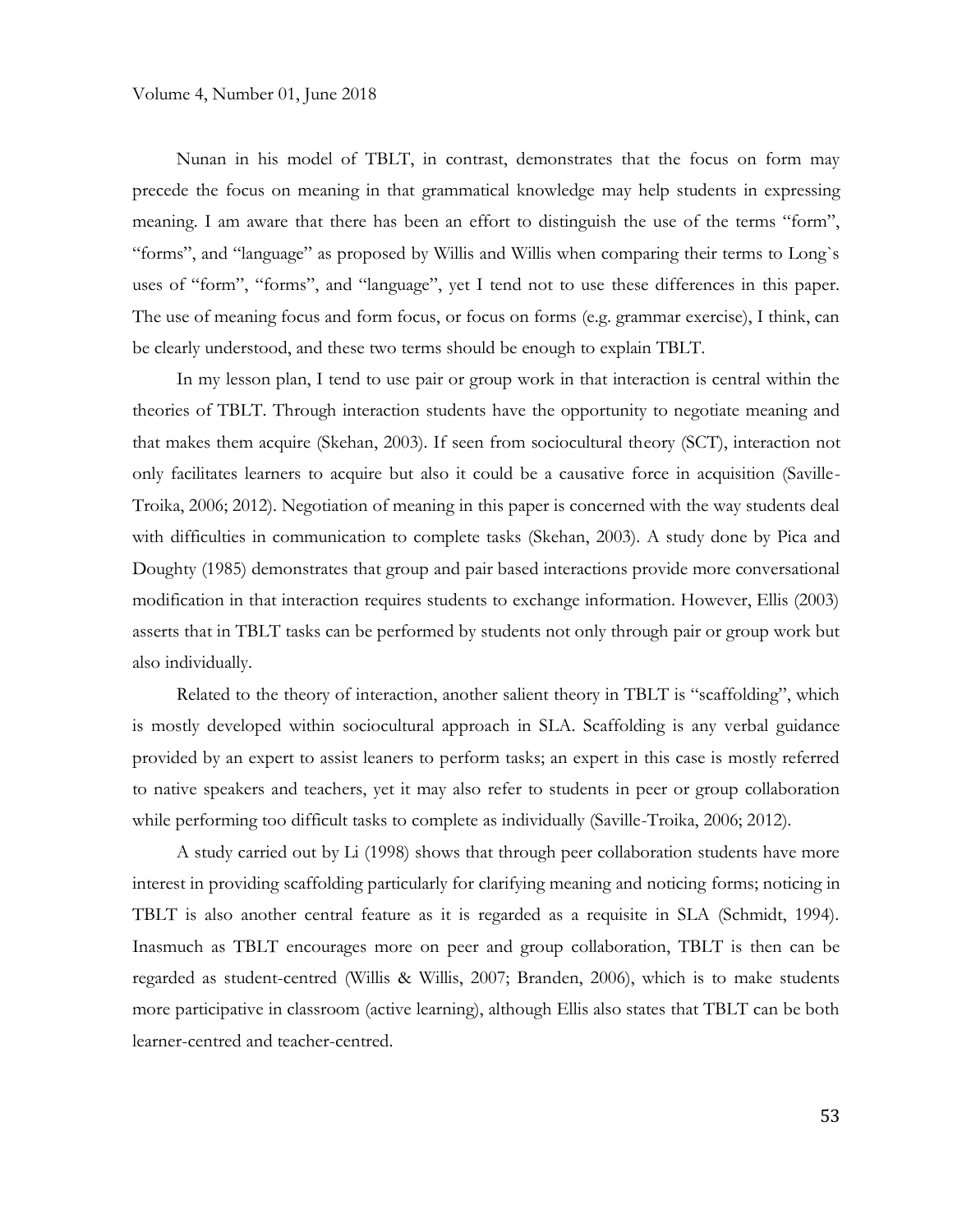Nunan in his model of TBLT, in contrast, demonstrates that the focus on form may precede the focus on meaning in that grammatical knowledge may help students in expressing meaning. I am aware that there has been an effort to distinguish the use of the terms "form", "forms", and "language" as proposed by Willis and Willis when comparing their terms to Long`s uses of "form", "forms", and "language", yet I tend not to use these differences in this paper. The use of meaning focus and form focus, or focus on forms (e.g. grammar exercise), I think, can be clearly understood, and these two terms should be enough to explain TBLT.

In my lesson plan, I tend to use pair or group work in that interaction is central within the theories of TBLT. Through interaction students have the opportunity to negotiate meaning and that makes them acquire (Skehan, 2003). If seen from sociocultural theory (SCT), interaction not only facilitates learners to acquire but also it could be a causative force in acquisition (Saville-Troika, 2006; 2012). Negotiation of meaning in this paper is concerned with the way students deal with difficulties in communication to complete tasks (Skehan, 2003). A study done by Pica and Doughty (1985) demonstrates that group and pair based interactions provide more conversational modification in that interaction requires students to exchange information. However, Ellis (2003) asserts that in TBLT tasks can be performed by students not only through pair or group work but also individually.

Related to the theory of interaction, another salient theory in TBLT is "scaffolding", which is mostly developed within sociocultural approach in SLA. Scaffolding is any verbal guidance provided by an expert to assist leaners to perform tasks; an expert in this case is mostly referred to native speakers and teachers, yet it may also refer to students in peer or group collaboration while performing too difficult tasks to complete as individually (Saville-Troika, 2006; 2012).

A study carried out by Li (1998) shows that through peer collaboration students have more interest in providing scaffolding particularly for clarifying meaning and noticing forms; noticing in TBLT is also another central feature as it is regarded as a requisite in SLA (Schmidt, 1994). Inasmuch as TBLT encourages more on peer and group collaboration, TBLT is then can be regarded as student-centred (Willis & Willis, 2007; Branden, 2006), which is to make students more participative in classroom (active learning), although Ellis also states that TBLT can be both learner-centred and teacher-centred.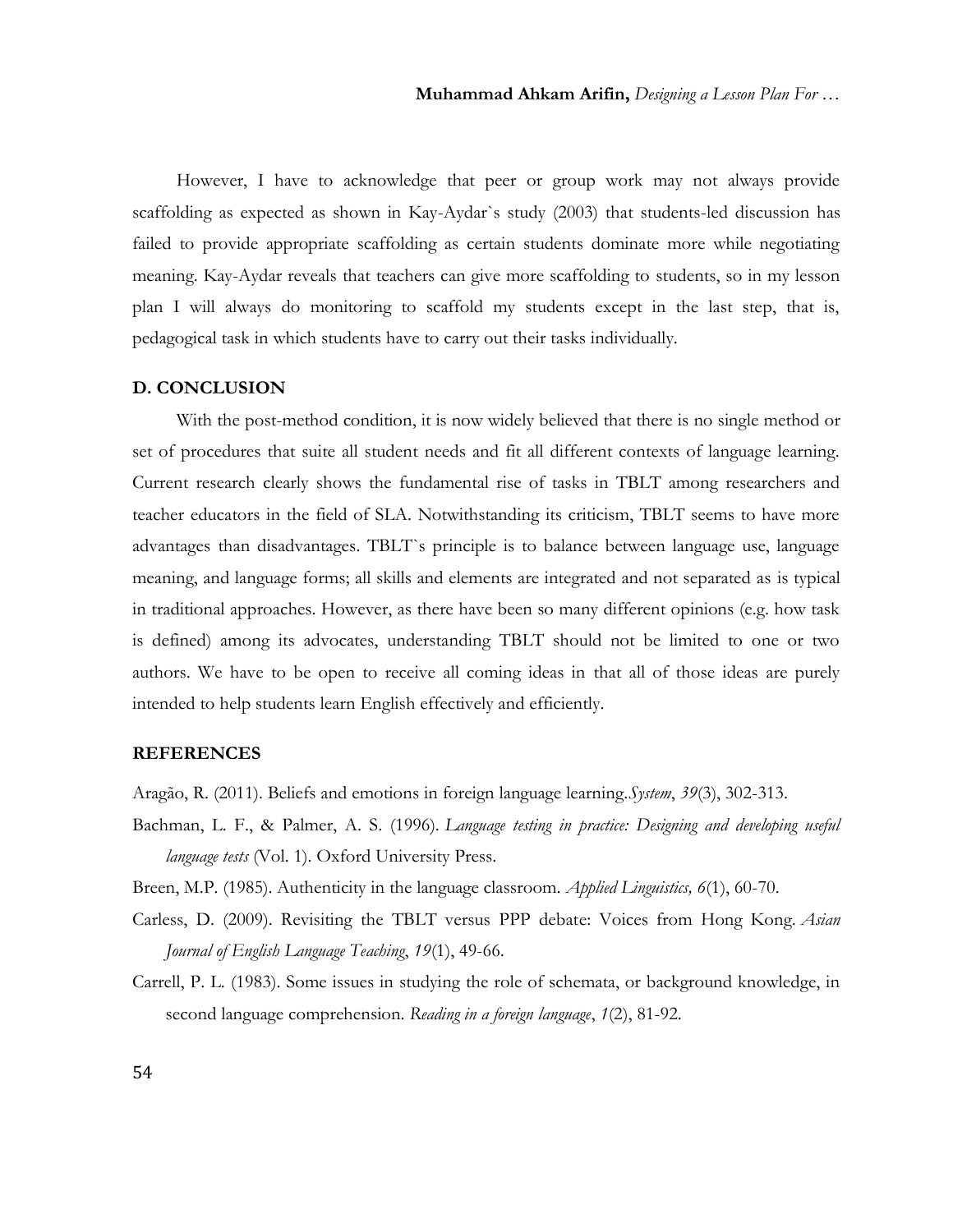However, I have to acknowledge that peer or group work may not always provide scaffolding as expected as shown in Kay-Aydar`s study (2003) that students-led discussion has failed to provide appropriate scaffolding as certain students dominate more while negotiating meaning. Kay-Aydar reveals that teachers can give more scaffolding to students, so in my lesson plan I will always do monitoring to scaffold my students except in the last step, that is, pedagogical task in which students have to carry out their tasks individually.

### **D. CONCLUSION**

With the post-method condition, it is now widely believed that there is no single method or set of procedures that suite all student needs and fit all different contexts of language learning. Current research clearly shows the fundamental rise of tasks in TBLT among researchers and teacher educators in the field of SLA. Notwithstanding its criticism, TBLT seems to have more advantages than disadvantages. TBLT`s principle is to balance between language use, language meaning, and language forms; all skills and elements are integrated and not separated as is typical in traditional approaches. However, as there have been so many different opinions (e.g. how task is defined) among its advocates, understanding TBLT should not be limited to one or two authors. We have to be open to receive all coming ideas in that all of those ideas are purely intended to help students learn English effectively and efficiently.

### **REFERENCES**

Aragão, R. (2011). Beliefs and emotions in foreign language learning.*System*, *39*(3), 302-313.

- Bachman, L. F., & Palmer, A. S. (1996). *Language testing in practice: Designing and developing useful language tests* (Vol. 1). Oxford University Press.
- Breen, M.P. (1985). Authenticity in the language classroom. *Applied Linguistics, 6*(1), 60-70.
- Carless, D. (2009). Revisiting the TBLT versus PPP debate: Voices from Hong Kong. *Asian Journal of English Language Teaching*, *19*(1), 49-66.
- Carrell, P. L. (1983). Some issues in studying the role of schemata, or background knowledge, in second language comprehension. *Reading in a foreign language*, *1*(2), 81-92.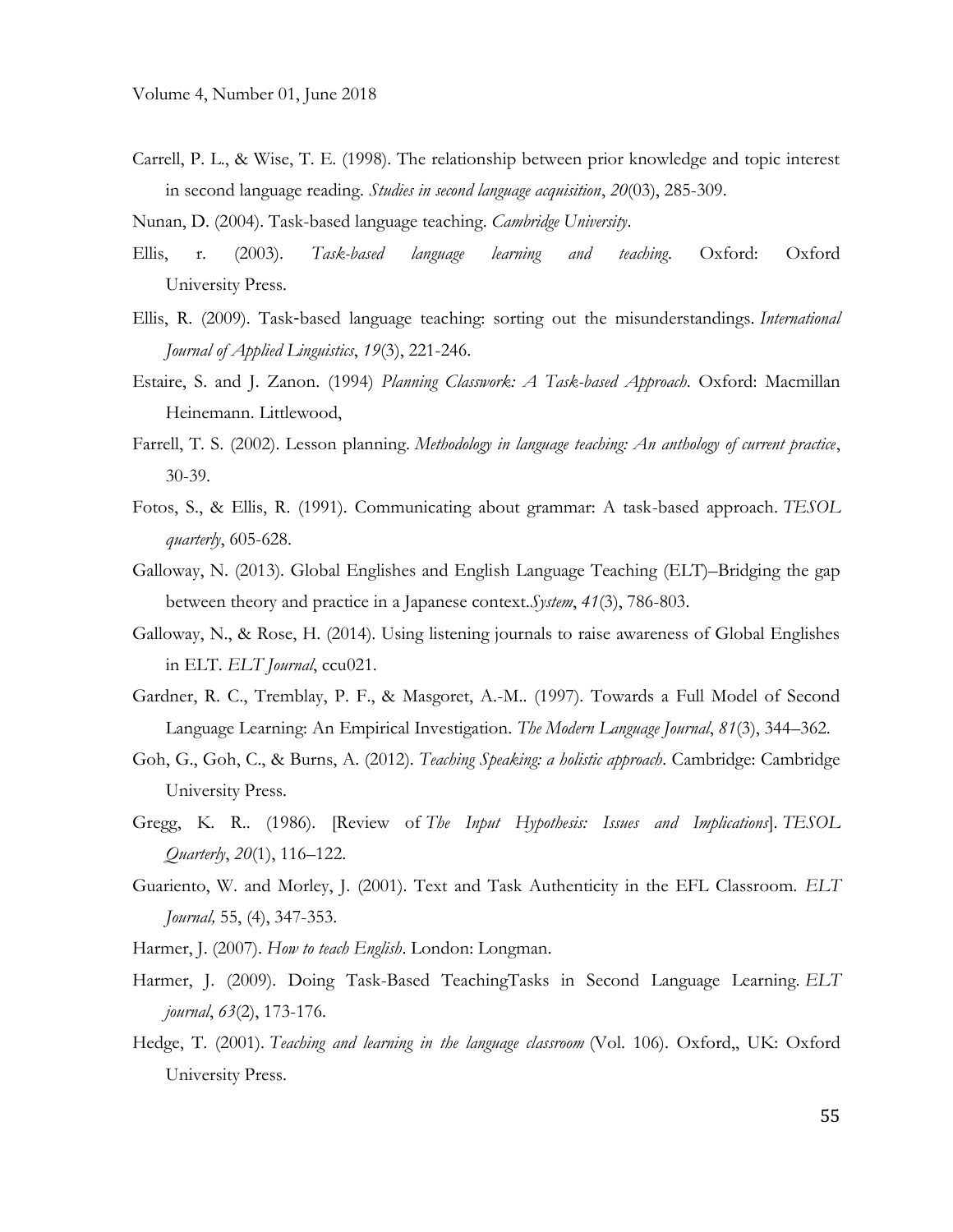- Carrell, P. L., & Wise, T. E. (1998). The relationship between prior knowledge and topic interest in second language reading. *Studies in second language acquisition*, *20*(03), 285-309.
- Nunan, D. (2004). Task-based language teaching. *Cambridge University*.
- Ellis, r. (2003). *Task-based language learning and teaching*. Oxford: Oxford University Press.
- Ellis, R. (2009). Task‐based language teaching: sorting out the misunderstandings. *International Journal of Applied Linguistics*, *19*(3), 221-246.
- Estaire, S. and J. Zanon. (1994) *Planning Classwork: A Task-based Approach*. Oxford: Macmillan Heinemann. Littlewood,
- Farrell, T. S. (2002). Lesson planning. *Methodology in language teaching: An anthology of current practice*, 30-39.
- Fotos, S., & Ellis, R. (1991). Communicating about grammar: A task-based approach. *TESOL quarterly*, 605-628.
- Galloway, N. (2013). Global Englishes and English Language Teaching (ELT)–Bridging the gap between theory and practice in a Japanese context.*System*, *41*(3), 786-803.
- Galloway, N., & Rose, H. (2014). Using listening journals to raise awareness of Global Englishes in ELT. *ELT Journal*, ccu021.
- Gardner, R. C., Tremblay, P. F., & Masgoret, A.-M.. (1997). Towards a Full Model of Second Language Learning: An Empirical Investigation. *The Modern Language Journal*, *81*(3), 344–362.
- Goh, G., Goh, C., & Burns, A. (2012). *Teaching Speaking: a holistic approach*. Cambridge: Cambridge University Press.
- Gregg, K. R.. (1986). [Review of *The Input Hypothesis: Issues and Implications*]. *TESOL Quarterly*, *20*(1), 116–122.
- Guariento, W. and Morley, J. (2001). Text and Task Authenticity in the EFL Classroom. *ELT Journal,* 55, (4), 347-353.
- Harmer, J. (2007). *How to teach English*. London: Longman.
- Harmer, J. (2009). Doing Task-Based TeachingTasks in Second Language Learning. *ELT journal*, *63*(2), 173-176.
- Hedge, T. (2001). *Teaching and learning in the language classroom* (Vol. 106). Oxford,, UK: Oxford University Press.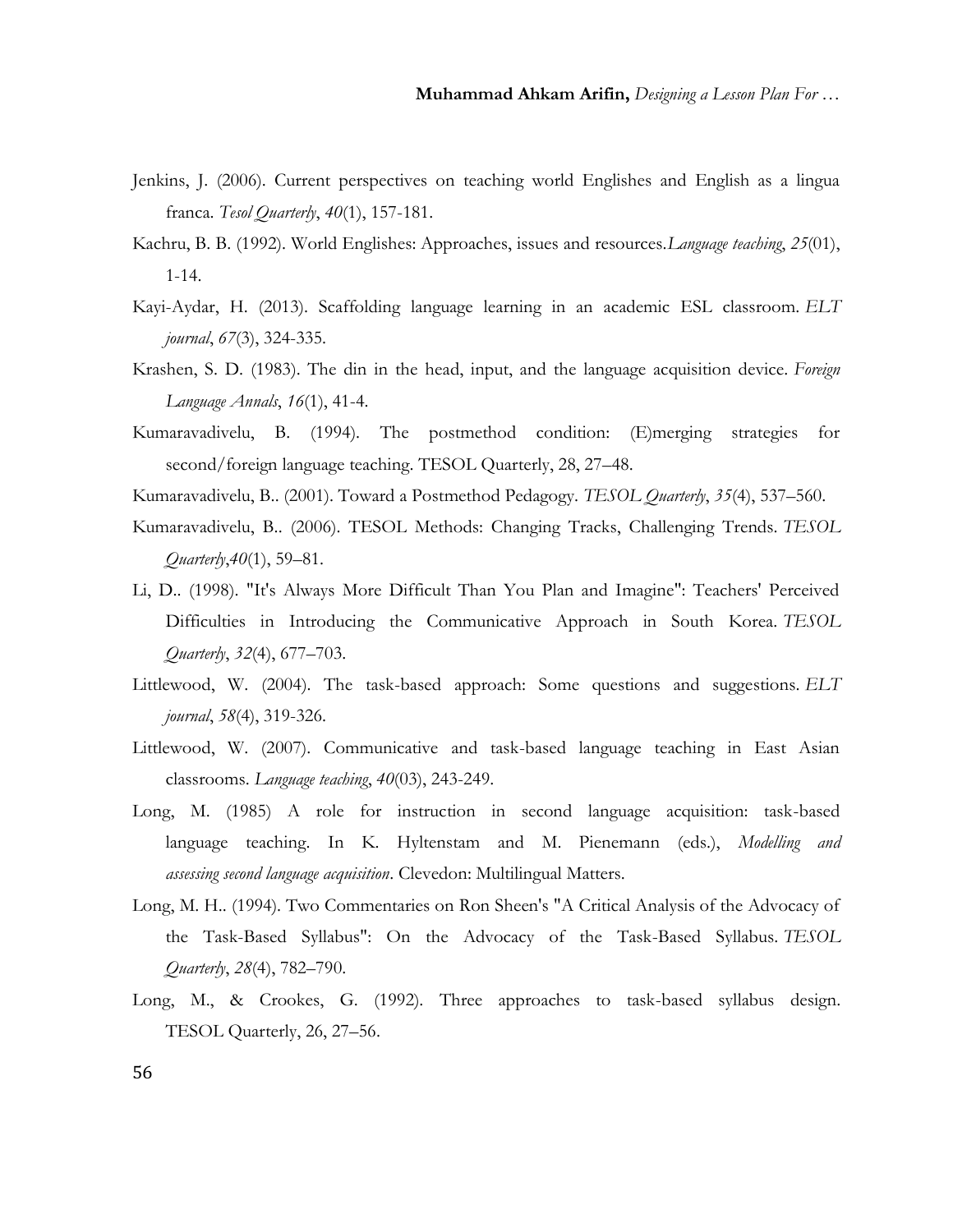- Jenkins, J. (2006). Current perspectives on teaching world Englishes and English as a lingua franca. *Tesol Quarterly*, *40*(1), 157-181.
- Kachru, B. B. (1992). World Englishes: Approaches, issues and resources.*Language teaching*, *25*(01), 1-14.
- Kayi-Aydar, H. (2013). Scaffolding language learning in an academic ESL classroom. *ELT journal*, *67*(3), 324-335.
- Krashen, S. D. (1983). The din in the head, input, and the language acquisition device. *Foreign Language Annals*, *16*(1), 41-4.
- Kumaravadivelu, B. (1994). The postmethod condition: (E)merging strategies for second/foreign language teaching. TESOL Quarterly, 28, 27–48.
- Kumaravadivelu, B.. (2001). Toward a Postmethod Pedagogy. *TESOL Quarterly*, *35*(4), 537–560.
- Kumaravadivelu, B.. (2006). TESOL Methods: Changing Tracks, Challenging Trends. *TESOL Quarterly*,*40*(1), 59–81.
- Li, D.. (1998). "It's Always More Difficult Than You Plan and Imagine": Teachers' Perceived Difficulties in Introducing the Communicative Approach in South Korea. *TESOL Quarterly*, *32*(4), 677–703.
- Littlewood, W. (2004). The task-based approach: Some questions and suggestions. *ELT journal*, *58*(4), 319-326.
- Littlewood, W. (2007). Communicative and task-based language teaching in East Asian classrooms. *Language teaching*, *40*(03), 243-249.
- Long, M. (1985) A role for instruction in second language acquisition: task-based language teaching. In K. Hyltenstam and M. Pienemann (eds.), *Modelling and assessing second language acquisition*. Clevedon: Multilingual Matters.
- Long, M. H.. (1994). Two Commentaries on Ron Sheen's "A Critical Analysis of the Advocacy of the Task-Based Syllabus": On the Advocacy of the Task-Based Syllabus. *TESOL Quarterly*, *28*(4), 782–790.
- Long, M., & Crookes, G. (1992). Three approaches to task-based syllabus design. TESOL Quarterly, 26, 27–56.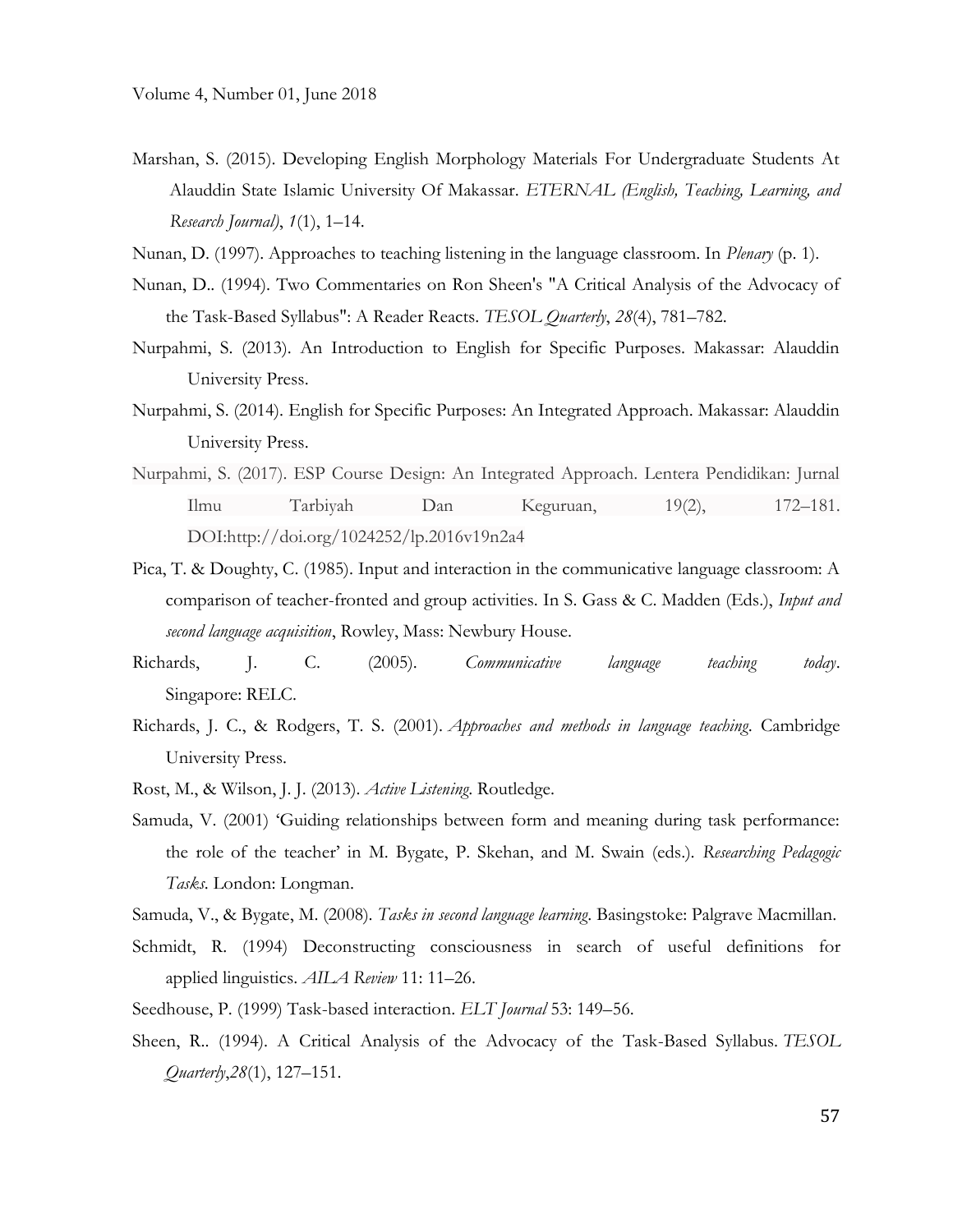- Marshan, S. (2015). Developing English Morphology Materials For Undergraduate Students At Alauddin State Islamic University Of Makassar. *ETERNAL (English, Teaching, Learning, and Research Journal)*, *1*(1), 1–14.
- Nunan, D. (1997). Approaches to teaching listening in the language classroom. In *Plenary* (p. 1).
- Nunan, D.. (1994). Two Commentaries on Ron Sheen's "A Critical Analysis of the Advocacy of the Task-Based Syllabus": A Reader Reacts. *TESOL Quarterly*, *28*(4), 781–782.
- Nurpahmi, S. (2013). An Introduction to English for Specific Purposes. Makassar: Alauddin University Press.
- Nurpahmi, S. (2014). English for Specific Purposes: An Integrated Approach. Makassar: Alauddin University Press.
- Nurpahmi, S. (2017). ESP Course Design: An Integrated Approach. Lentera Pendidikan: Jurnal Ilmu Tarbiyah Dan Keguruan, 19(2), 172–181. DOI:http://doi.org/1024252/lp.2016v19n2a4
- Pica, T. & Doughty, C. (1985). Input and interaction in the communicative language classroom: A comparison of teacher-fronted and group activities. In S. Gass & C. Madden (Eds.), *Input and second language acquisition*, Rowley, Mass: Newbury House.
- Richards, J. C. (2005). *Communicative language teaching today*. Singapore: RELC.
- Richards, J. C., & Rodgers, T. S. (2001). *Approaches and methods in language teaching*. Cambridge University Press.
- Rost, M., & Wilson, J. J. (2013). *Active Listening*. Routledge.
- Samuda, V. (2001) "Guiding relationships between form and meaning during task performance: the role of the teacher" in M. Bygate, P. Skehan, and M. Swain (eds.). *Researching Pedagogic Tasks*. London: Longman.
- Samuda, V., & Bygate, M. (2008). *Tasks in second language learning*. Basingstoke: Palgrave Macmillan.
- Schmidt, R. (1994) Deconstructing consciousness in search of useful definitions for applied linguistics. *AILA Review* 11: 11–26.
- Seedhouse, P. (1999) Task-based interaction. *ELT Journal* 53: 149–56.
- Sheen, R.. (1994). A Critical Analysis of the Advocacy of the Task-Based Syllabus. *TESOL Quarterly*,*28*(1), 127–151.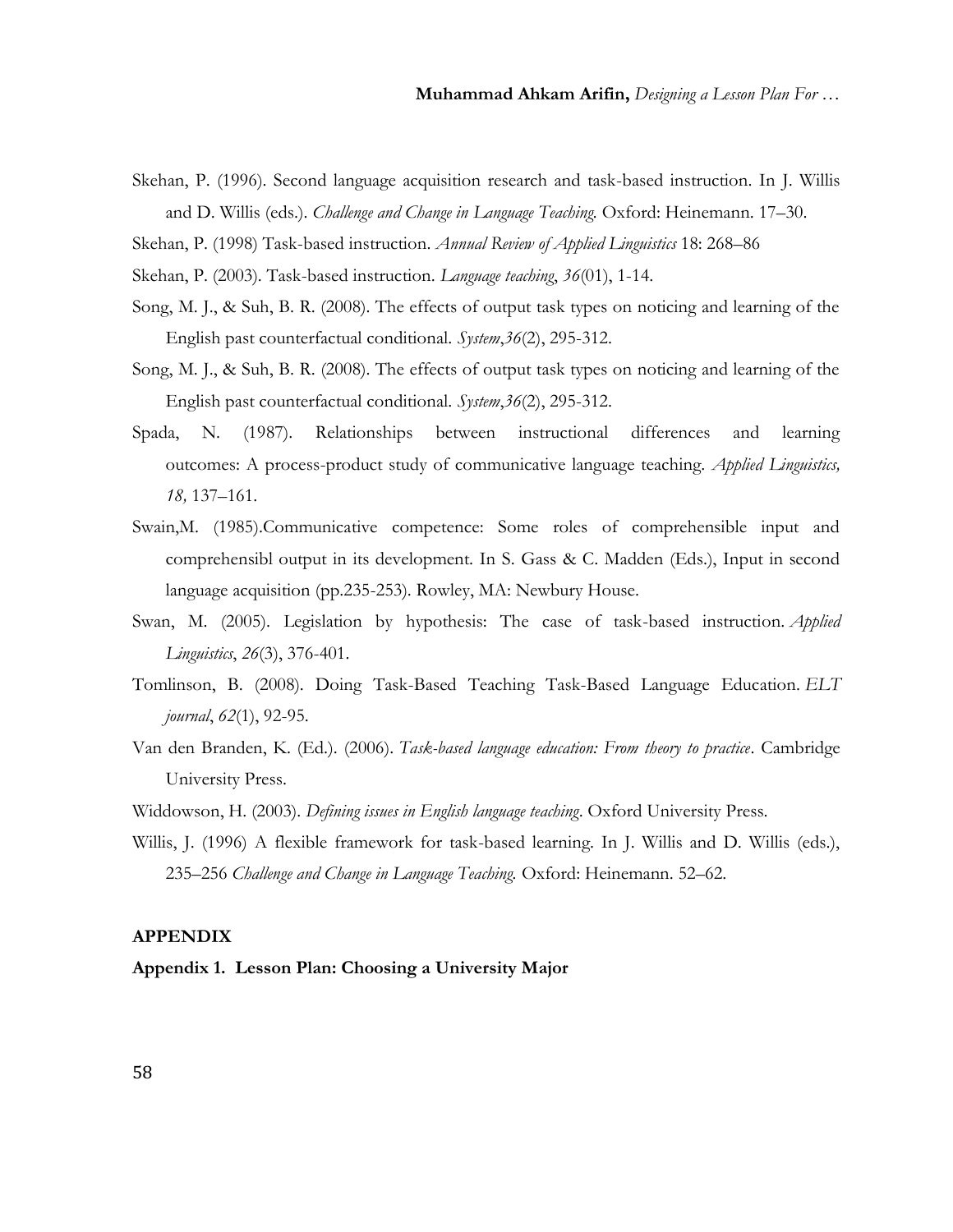- Skehan, P. (1996). Second language acquisition research and task-based instruction. In J. Willis and D. Willis (eds.). *Challenge and Change in Language Teaching.* Oxford: Heinemann. 17–30.
- Skehan, P. (1998) Task-based instruction. *Annual Review of Applied Linguistics* 18: 268–86
- Skehan, P. (2003). Task-based instruction. *Language teaching*, *36*(01), 1-14.
- Song, M. J., & Suh, B. R. (2008). The effects of output task types on noticing and learning of the English past counterfactual conditional. *System*,*36*(2), 295-312.
- Song, M. J., & Suh, B. R. (2008). The effects of output task types on noticing and learning of the English past counterfactual conditional. *System*,*36*(2), 295-312.
- Spada, N. (1987). Relationships between instructional differences and learning outcomes: A process-product study of communicative language teaching. *Applied Linguistics, 18,* 137–161.
- Swain,M. (1985).Communicative competence: Some roles of comprehensible input and comprehensibl output in its development. In S. Gass & C. Madden (Eds.), Input in second language acquisition (pp.235-253). Rowley, MA: Newbury House.
- Swan, M. (2005). Legislation by hypothesis: The case of task-based instruction. *Applied Linguistics*, *26*(3), 376-401.
- Tomlinson, B. (2008). Doing Task-Based Teaching Task-Based Language Education. *ELT journal*, *62*(1), 92-95.
- Van den Branden, K. (Ed.). (2006). *Task-based language education: From theory to practice*. Cambridge University Press.
- Widdowson, H. (2003). *Defining issues in English language teaching*. Oxford University Press.
- Willis, J. (1996) A flexible framework for task-based learning. In J. Willis and D. Willis (eds.), 235–256 *Challenge and Change in Language Teaching.* Oxford: Heinemann. 52–62.

#### **APPENDIX**

**Appendix 1. Lesson Plan: Choosing a University Major**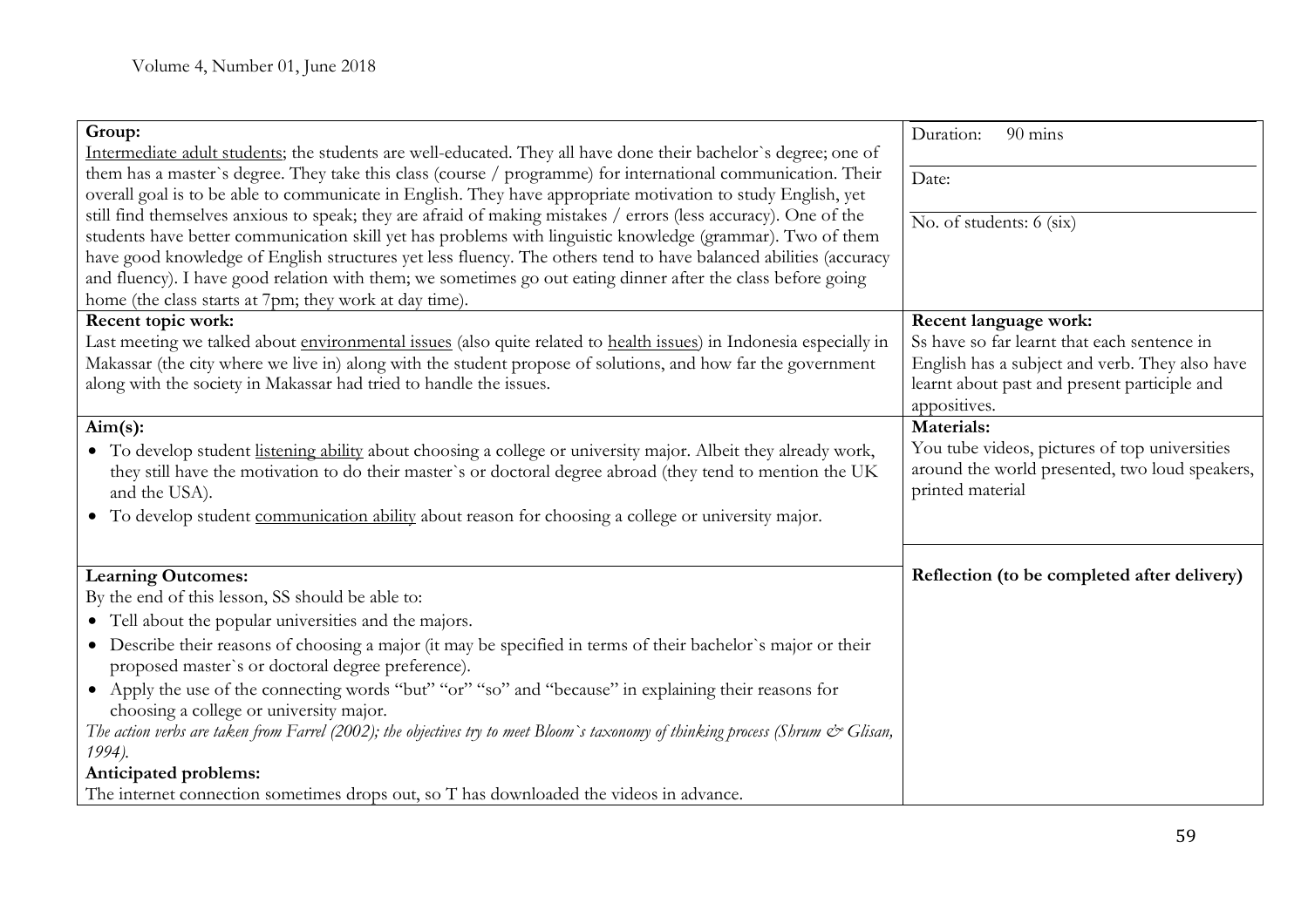| Group:                                                                                                                                      | 90 mins<br>Duration:                           |  |  |
|---------------------------------------------------------------------------------------------------------------------------------------------|------------------------------------------------|--|--|
| Intermediate adult students; the students are well-educated. They all have done their bachelor's degree; one of                             |                                                |  |  |
| them has a master's degree. They take this class (course / programme) for international communication. Their                                | Date:                                          |  |  |
| overall goal is to be able to communicate in English. They have appropriate motivation to study English, yet                                |                                                |  |  |
| still find themselves anxious to speak; they are afraid of making mistakes / errors (less accuracy). One of the                             | No. of students: 6 (six)                       |  |  |
| students have better communication skill yet has problems with linguistic knowledge (grammar). Two of them                                  |                                                |  |  |
| have good knowledge of English structures yet less fluency. The others tend to have balanced abilities (accuracy                            |                                                |  |  |
| and fluency). I have good relation with them; we sometimes go out eating dinner after the class before going                                |                                                |  |  |
| home (the class starts at 7pm; they work at day time).                                                                                      |                                                |  |  |
| Recent topic work:                                                                                                                          | Recent language work:                          |  |  |
| Last meeting we talked about environmental issues (also quite related to health issues) in Indonesia especially in                          | Ss have so far learnt that each sentence in    |  |  |
| Makassar (the city where we live in) along with the student propose of solutions, and how far the government                                | English has a subject and verb. They also have |  |  |
| along with the society in Makassar had tried to handle the issues.                                                                          | learnt about past and present participle and   |  |  |
|                                                                                                                                             | appositives.                                   |  |  |
| $Aim(s)$ :                                                                                                                                  | Materials:                                     |  |  |
| • To develop student listening ability about choosing a college or university major. Albeit they already work,                              | You tube videos, pictures of top universities  |  |  |
| they still have the motivation to do their master's or doctoral degree abroad (they tend to mention the UK                                  | around the world presented, two loud speakers, |  |  |
| and the USA).                                                                                                                               | printed material                               |  |  |
| • To develop student communication ability about reason for choosing a college or university major.                                         |                                                |  |  |
|                                                                                                                                             |                                                |  |  |
|                                                                                                                                             |                                                |  |  |
| <b>Learning Outcomes:</b>                                                                                                                   | Reflection (to be completed after delivery)    |  |  |
| By the end of this lesson, SS should be able to:                                                                                            |                                                |  |  |
| • Tell about the popular universities and the majors.                                                                                       |                                                |  |  |
| • Describe their reasons of choosing a major (it may be specified in terms of their bachelor's major or their                               |                                                |  |  |
| proposed master's or doctoral degree preference).                                                                                           |                                                |  |  |
| • Apply the use of the connecting words "but" "or" "so" and "because" in explaining their reasons for                                       |                                                |  |  |
| choosing a college or university major.                                                                                                     |                                                |  |  |
| The action verbs are taken from Farrel (2002); the objectives try to meet Bloom's taxonomy of thinking process (Shrum $\mathcal{Q}$ Glisan, |                                                |  |  |
| 1994).                                                                                                                                      |                                                |  |  |
| Anticipated problems:                                                                                                                       |                                                |  |  |
| The internet connection sometimes drops out, so T has downloaded the videos in advance.                                                     |                                                |  |  |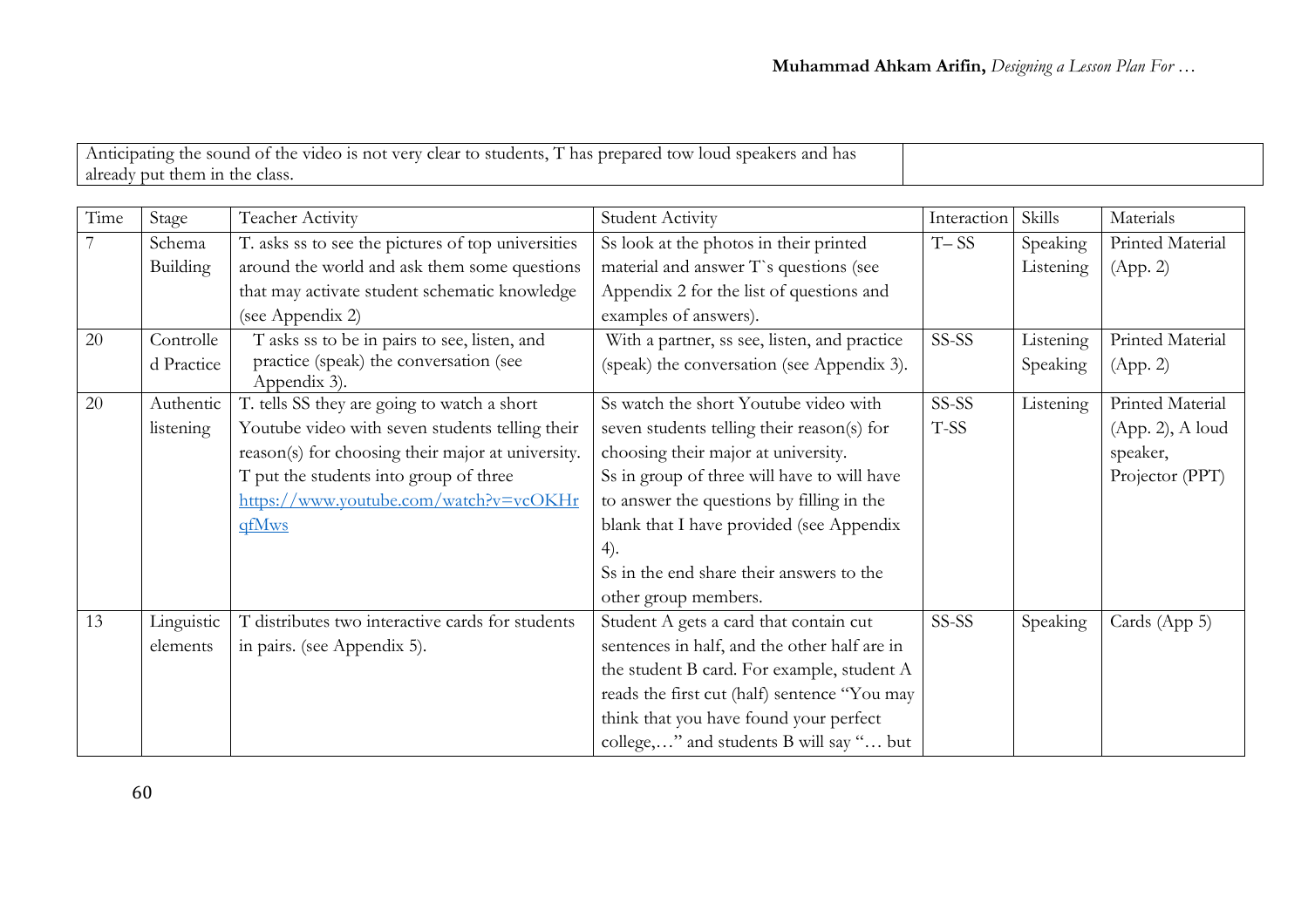| __<br>has<br>students.<br>Anticip<br>has<br>video<br>speal<br>and<br>nrer<br>™C<br>clear<br>dareo<br>oud<br>ouna<br>eo is not<br>- En c<br>лаппе<br>$\cup$<br>.<br>் பட<br>-anc |  |
|---------------------------------------------------------------------------------------------------------------------------------------------------------------------------------|--|
| class.<br>already<br>nu<br>the<br>then<br>1ſ                                                                                                                                    |  |

| Time | Stage      | Teacher Activity                                       | <b>Student Activity</b>                      | Interaction | Skills    | Materials           |
|------|------------|--------------------------------------------------------|----------------------------------------------|-------------|-----------|---------------------|
|      | Schema     | T. asks ss to see the pictures of top universities     | Ss look at the photos in their printed       | $T - SS$    | Speaking  | Printed Material    |
|      | Building   | around the world and ask them some questions           | material and answer T's questions (see       |             | Listening | (App. 2)            |
|      |            | that may activate student schematic knowledge          | Appendix 2 for the list of questions and     |             |           |                     |
|      |            | (see Appendix 2)                                       | examples of answers).                        |             |           |                     |
| 20   | Controlle  | T asks ss to be in pairs to see, listen, and           | With a partner, ss see, listen, and practice | SS-SS       | Listening | Printed Material    |
|      | d Practice | practice (speak) the conversation (see<br>Appendix 3). | (speak) the conversation (see Appendix 3).   |             | Speaking  | (App. 2)            |
| 20   | Authentic  | T. tells SS they are going to watch a short            | Ss watch the short Youtube video with        | SS-SS       | Listening | Printed Material    |
|      | listening  | Youtube video with seven students telling their        | seven students telling their reason(s) for   | T-SS        |           | $(App. 2)$ , A loud |
|      |            | reason(s) for choosing their major at university.      | choosing their major at university.          |             |           | speaker,            |
|      |            | T put the students into group of three                 | Ss in group of three will have to will have  |             |           | Projector (PPT)     |
|      |            | https://www.youtube.com/watch?v=vcOKHr                 | to answer the questions by filling in the    |             |           |                     |
|      |            | qfMws                                                  | blank that I have provided (see Appendix     |             |           |                     |
|      |            |                                                        | 4).                                          |             |           |                     |
|      |            |                                                        | Ss in the end share their answers to the     |             |           |                     |
|      |            |                                                        | other group members.                         |             |           |                     |
| 13   | Linguistic | T distributes two interactive cards for students       | Student A gets a card that contain cut       | SS-SS       | Speaking  | Cards (App 5)       |
|      | elements   | in pairs. (see Appendix 5).                            | sentences in half, and the other half are in |             |           |                     |
|      |            |                                                        | the student B card. For example, student A   |             |           |                     |
|      |            |                                                        | reads the first cut (half) sentence "You may |             |           |                     |
|      |            |                                                        | think that you have found your perfect       |             |           |                     |
|      |            |                                                        | college," and students B will say " but      |             |           |                     |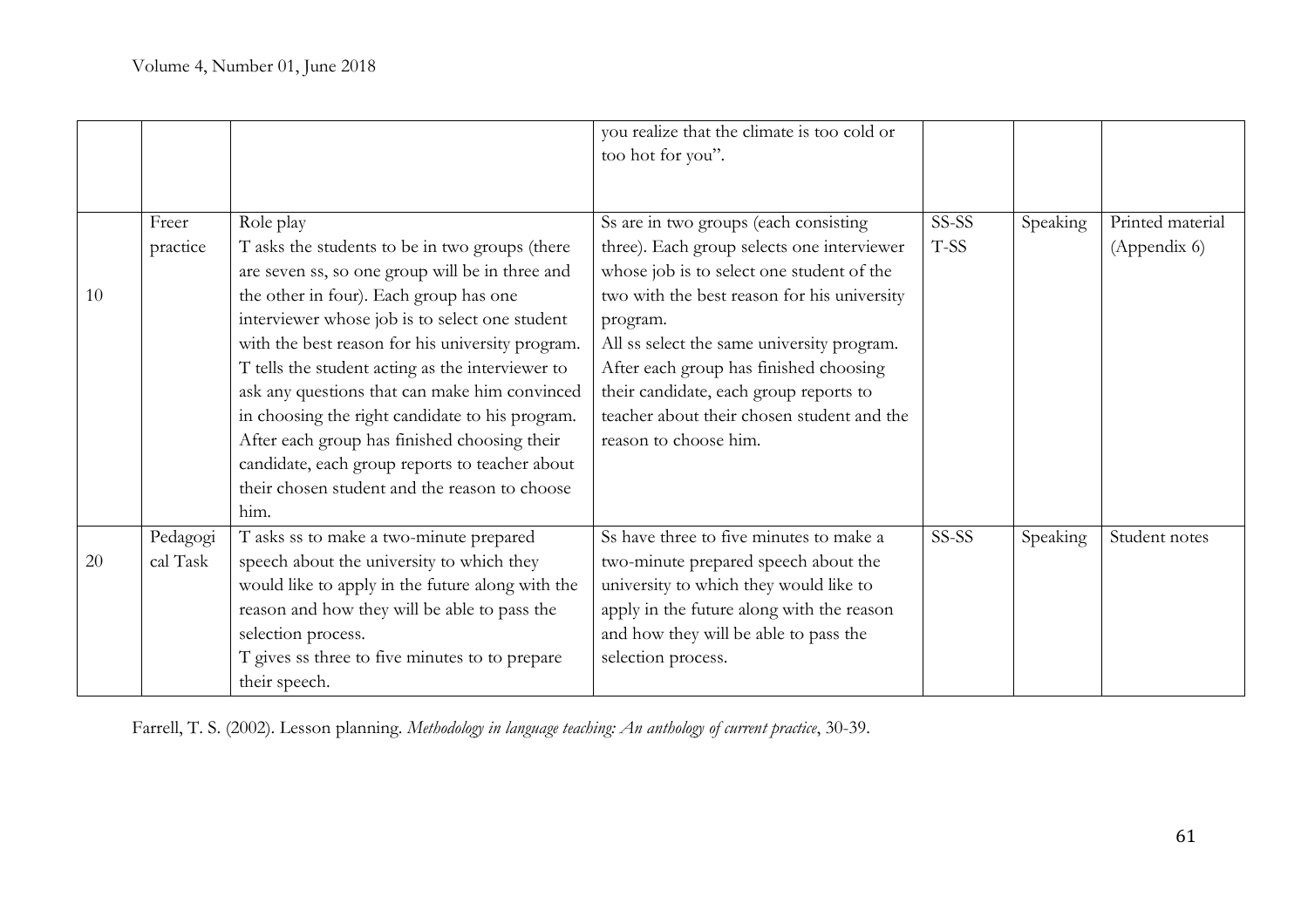|    | Freer<br>practice    | Role play<br>T asks the students to be in two groups (there<br>are seven ss, so one group will be in three and                                                                                                                                                                                                                                                                                                                                                  | you realize that the climate is too cold or<br>too hot for you".<br>Ss are in two groups (each consisting<br>three). Each group selects one interviewer<br>whose job is to select one student of the                                                             | SS-SS<br>T-SS | Speaking | Printed material<br>(Appendix 6) |
|----|----------------------|-----------------------------------------------------------------------------------------------------------------------------------------------------------------------------------------------------------------------------------------------------------------------------------------------------------------------------------------------------------------------------------------------------------------------------------------------------------------|------------------------------------------------------------------------------------------------------------------------------------------------------------------------------------------------------------------------------------------------------------------|---------------|----------|----------------------------------|
| 10 |                      | the other in four). Each group has one<br>interviewer whose job is to select one student<br>with the best reason for his university program.<br>T tells the student acting as the interviewer to<br>ask any questions that can make him convinced<br>in choosing the right candidate to his program.<br>After each group has finished choosing their<br>candidate, each group reports to teacher about<br>their chosen student and the reason to choose<br>him. | two with the best reason for his university<br>program.<br>All ss select the same university program.<br>After each group has finished choosing<br>their candidate, each group reports to<br>teacher about their chosen student and the<br>reason to choose him. |               |          |                                  |
| 20 | Pedagogi<br>cal Task | T asks ss to make a two-minute prepared<br>speech about the university to which they<br>would like to apply in the future along with the<br>reason and how they will be able to pass the<br>selection process.<br>T gives ss three to five minutes to to prepare<br>their speech.                                                                                                                                                                               | Ss have three to five minutes to make a<br>two-minute prepared speech about the<br>university to which they would like to<br>apply in the future along with the reason<br>and how they will be able to pass the<br>selection process.                            | SS-SS         | Speaking | Student notes                    |

Farrell, T. S. (2002). Lesson planning. *Methodology in language teaching: An anthology of current practice*, 30-39.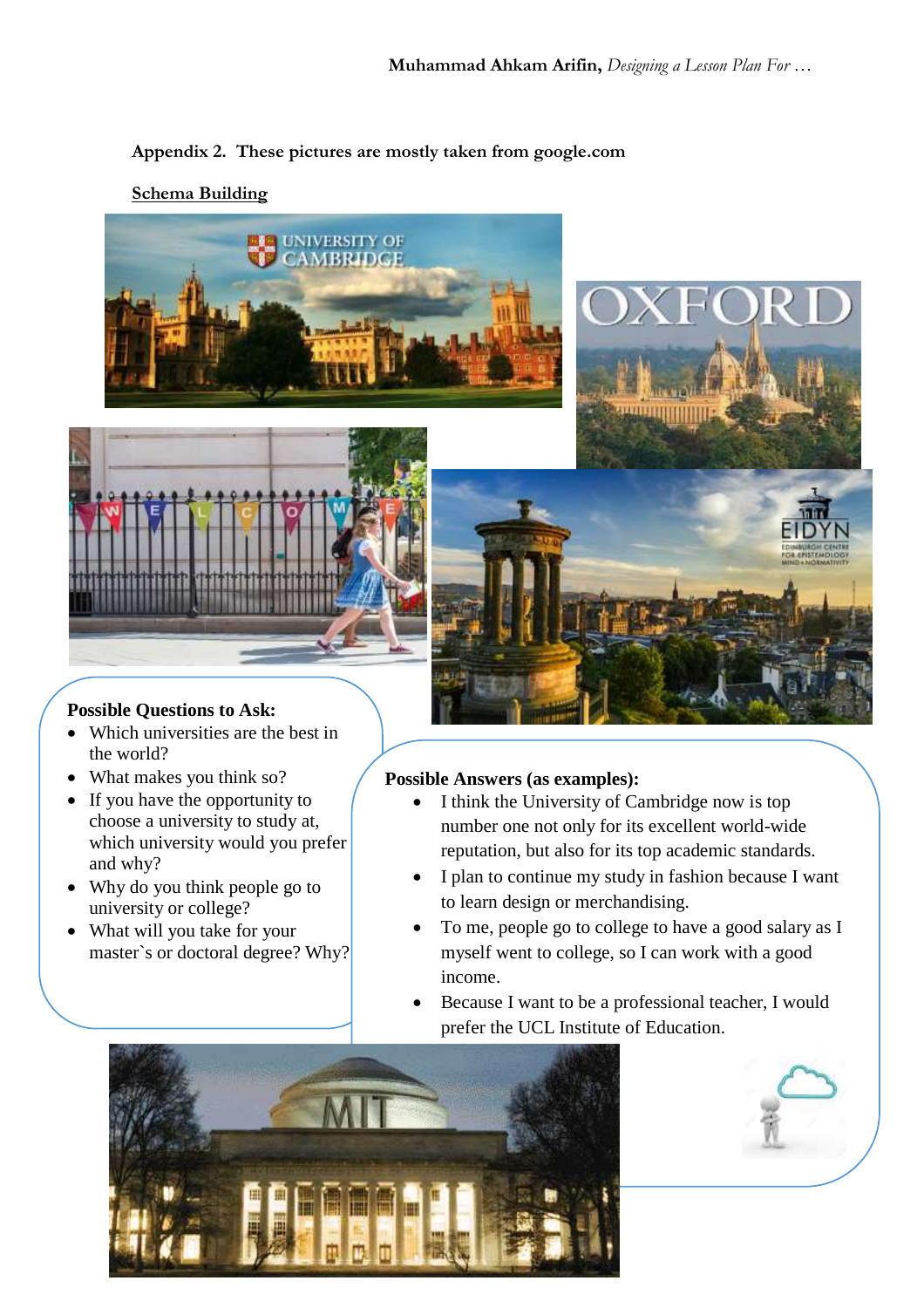## **Appendix 2. These pictures are mostly taken from google.com**

# **Schema Building**









### **Possible Questions to Ask:**

- Which universities are the best in the world?
- What makes you think so?
- If you have the opportunity to choose a university to study at, which university would you prefer and why?
- Why do you think people go to university or college?
- What will you take for your master`s or doctoral degree? Why?

# **Possible Answers (as examples):**

- I think the University of Cambridge now is top number one not only for its excellent world-wide reputation, but also for its top academic standards.
- I plan to continue my study in fashion because I want to learn design or merchandising.
- To me, people go to college to have a good salary as I myself went to college, so I can work with a good income.
- Because I want to be a professional teacher, I would prefer the UCL Institute of Education.



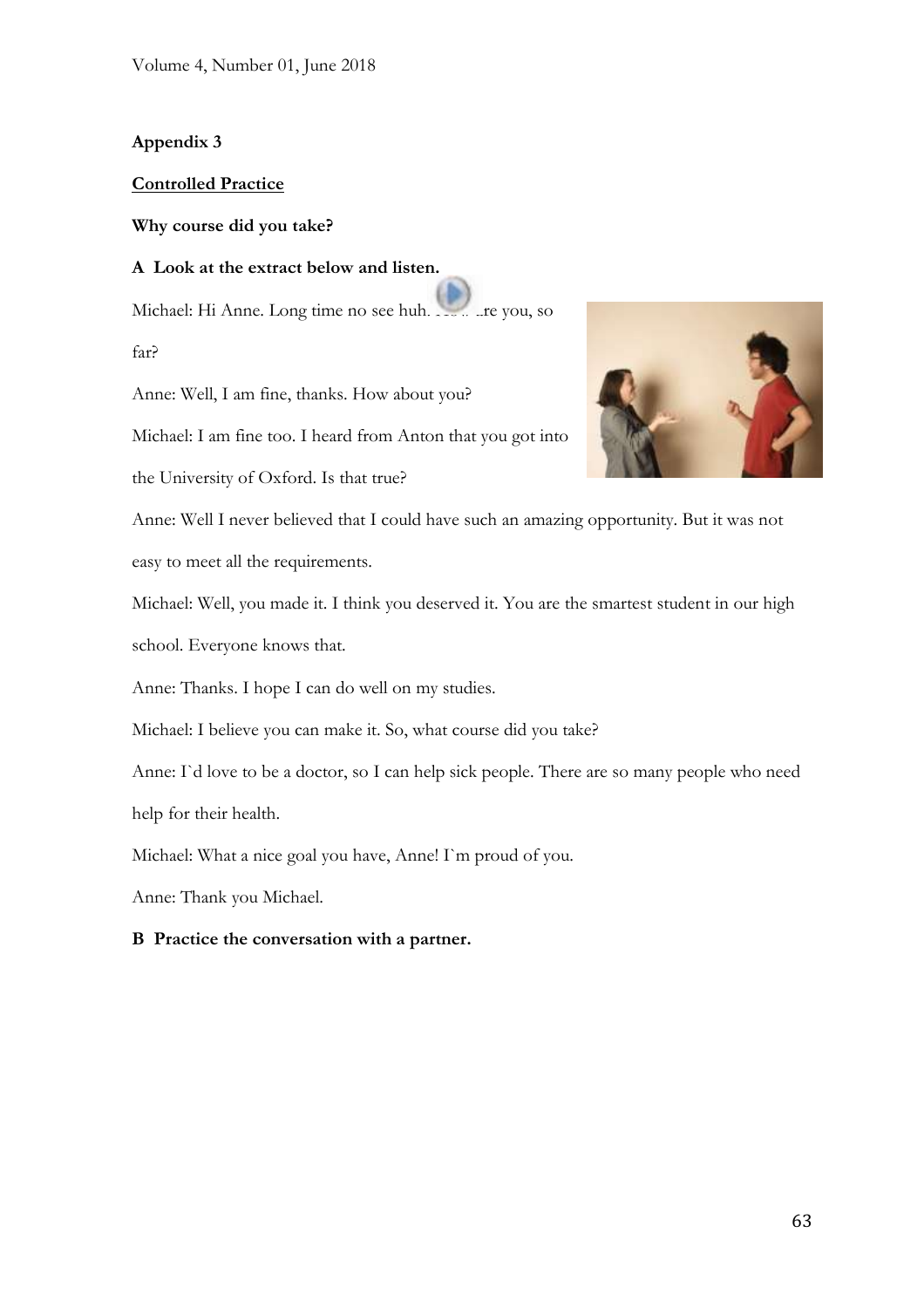## **Appendix 3**

### **Controlled Practice**

### **Why course did you take?**

### **A Look at the extract below and listen.**

Michael: Hi Anne. Long time no see huh. And are you, so far?

Anne: Well, I am fine, thanks. How about you?

Michael: I am fine too. I heard from Anton that you got into

the University of Oxford. Is that true?



Anne: Well I never believed that I could have such an amazing opportunity. But it was not

easy to meet all the requirements.

Michael: Well, you made it. I think you deserved it. You are the smartest student in our high school. Everyone knows that.

Anne: Thanks. I hope I can do well on my studies.

Michael: I believe you can make it. So, what course did you take?

Anne: I`d love to be a doctor, so I can help sick people. There are so many people who need

help for their health.

Michael: What a nice goal you have, Anne! I`m proud of you.

Anne: Thank you Michael.

**B Practice the conversation with a partner.**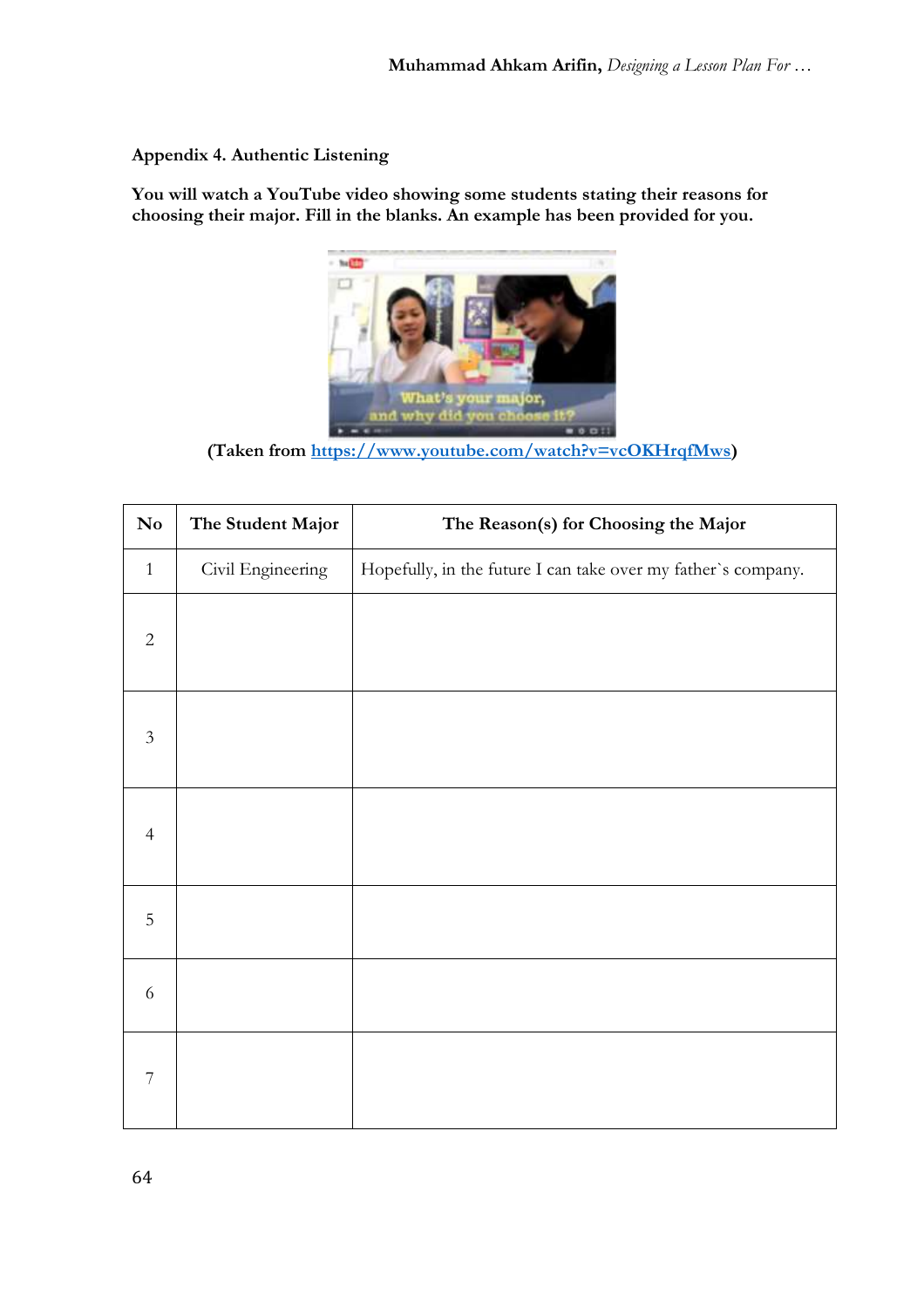## **Appendix 4. Authentic Listening**

**You will watch a YouTube video showing some students stating their reasons for choosing their major. Fill in the blanks. An example has been provided for you.**



**(Taken from [https://www.youtube.com/watch?v=vcOKHrqfMws\)](https://www.youtube.com/watch?v=vcOKHrqfMws)**

| $\mathbf{N}\mathbf{o}$ | The Student Major | The Reason(s) for Choosing the Major                          |  |  |
|------------------------|-------------------|---------------------------------------------------------------|--|--|
| $\mathbf{1}$           | Civil Engineering | Hopefully, in the future I can take over my father's company. |  |  |
| $\overline{2}$         |                   |                                                               |  |  |
| $\mathfrak{Z}$         |                   |                                                               |  |  |
| $\overline{4}$         |                   |                                                               |  |  |
| $\mathsf S$            |                   |                                                               |  |  |
| 6                      |                   |                                                               |  |  |
| 7                      |                   |                                                               |  |  |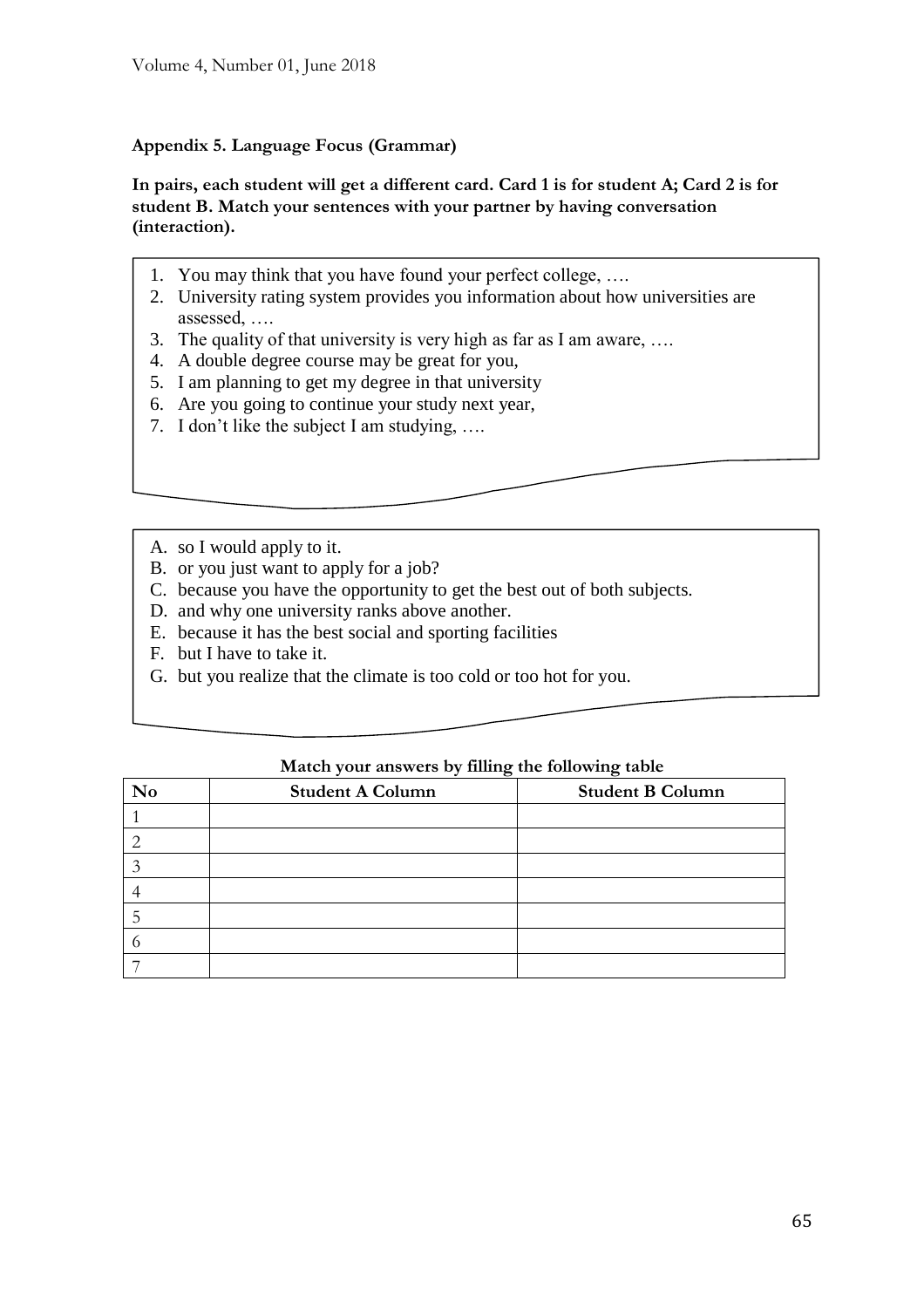### **Appendix 5. Language Focus (Grammar)**

### **In pairs, each student will get a different card. Card 1 is for student A; Card 2 is for student B. Match your sentences with your partner by having conversation (interaction).**

- 1. You may think that you have found your perfect college, ….
- 2. University rating system provides you information about how universities are assessed, ….
- 3. The quality of that university is very high as far as I am aware, ….
- 4. A double degree course may be great for you,
- 5. I am planning to get my degree in that university
- 6. Are you going to continue your study next year,
- 7. I don't like the subject I am studying, ….
- A. so I would apply to it.
- B. or you just want to apply for a job?
- C. because you have the opportunity to get the best out of both subjects.
- D. and why one university ranks above another.
- E. because it has the best social and sporting facilities
- F. but I have to take it.
- G. but you realize that the climate is too cold or too hot for you.

| N <sub>0</sub> | <b>Student A Column</b> | <b>Student B Column</b> |
|----------------|-------------------------|-------------------------|
|                |                         |                         |
|                |                         |                         |
|                |                         |                         |
|                |                         |                         |
|                |                         |                         |
|                |                         |                         |
|                |                         |                         |

### **Match your answers by filling the following table**